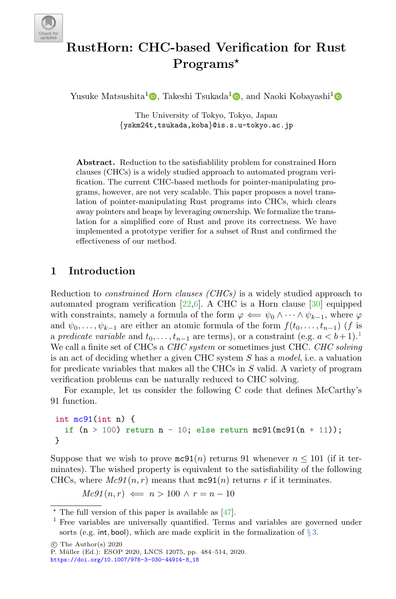

# RustHorn: CHC-based Verification for Rust Programs\*

Yusuke Matsushita<sup>[1](http://orcid.org/0000-0002-0537-0604)</sup><sup>0</sup>[,](http://orcid.org/0000-0002-2824-8708) Takeshi Tsukada<sup>1</sup><sup>0</sup>, and Naoki Kobayashi<sup>1</sup>

The University of Tokyo, Tokyo, Japan {yskm24t,tsukada,koba}@is.s.u-tokyo.ac.jp

Abstract. Reduction to the satisfiablility problem for constrained Horn clauses (CHCs) is a widely studied approach to automated program verification. The current CHC-based methods for pointer-manipulating programs, however, are not very scalable. This paper proposes a novel translation of pointer-manipulating Rust programs into CHCs, which clears away pointers and heaps by leveraging ownership. We formalize the translation for a simplified core of Rust and prove its correctness. We have implemented a prototype verifier for a subset of Rust and confirmed the effectiveness of our method.

# <span id="page-0-1"></span>1 Introduction

Reduction to constrained Horn clauses (CHCs) is a widely studied approach to automated program verification  $[22,6]$  $[22,6]$ . A CHC is a Horn clause  $[30]$  equipped with constraints, namely a formula of the form  $\varphi \iff \psi_0 \wedge \cdots \wedge \psi_{k-1}$ , where  $\varphi$ and  $\psi_0, \ldots, \psi_{k-1}$  are either an atomic formula of the form  $f(t_0, \ldots, t_{n-1})$  (f is a predicate variable and  $t_0, \ldots, t_{n-1}$  $t_0, \ldots, t_{n-1}$  $t_0, \ldots, t_{n-1}$  are terms), or a constraint (e.g.  $a < b+1$ ).<sup>1</sup> We call a finite set of CHCs a CHC system or sometimes just CHC. CHC solving is an act of deciding whether a given CHC system S has a model, i.e. a valuation for predicate variables that makes all the CHCs in S valid. A variety of program verification problems can be naturally reduced to CHC solving.

For example, let us consider the following C code that defines McCarthy's 91 function.

```
int mc91(int n) {
  if (n > 100) return n - 10; else return mc91(mc91(n + 11));
}
```
Suppose that we wish to prove  $\mathfrak{mc}91(n)$  returns 91 whenever  $n \le 101$  (if it terminates). The wished property is equivalent to the satisfiability of the following CHCs, where  $Mc91(n, r)$  means that  $mc91(n)$  returns r if it terminates.

 $Mc91(n,r) \iff n > 100 \land r = n - 10$ 

 $*$  The full version of this paper is available as [\[47\]](#page-28-0).

<span id="page-0-0"></span><sup>1</sup> Free variables are universally quantified. Terms and variables are governed under sorts (e.g. int, bool), which are made explicit in the formalization of  $\S 3$ .

 $\circ$  The Author(s) 2020

P. M¨uller (Ed.): ESOP 2020, LNCS 12075, pp. 484–514, 2020. [https://doi.org/10.1007/978-3-030-44914-8\\_18](https://doi.org/10.1007/978-3-030-44914-8_18)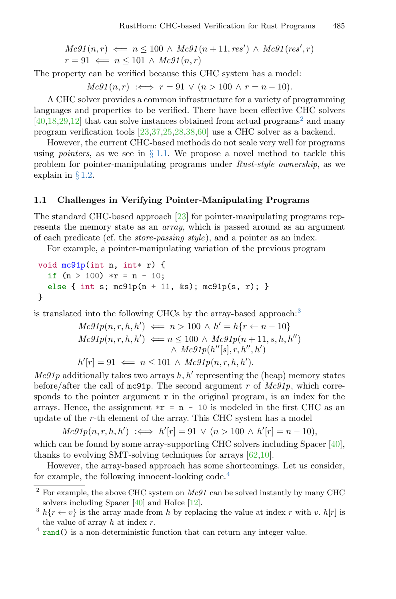$$
Mc91(n,r) \Leftarrow n \le 100 \land Mc91(n+11, res') \land Mc91(res', r)
$$
  

$$
r = 91 \Leftarrow n \le 101 \land Mc91(n,r)
$$

The property can be verified because this CHC system has a model:

 $Mc91(n, r) \iff r = 91 \lor (n > 100 \land r = n - 10).$ 

A CHC solver provides a common infrastructure for a variety of programming languages and properties to be verified. There have been effective CHC solvers  $[40,18,29,12]$  $[40,18,29,12]$  $[40,18,29,12]$  $[40,18,29,12]$  that can solve instances obtained from actual programs<sup>[2](#page-1-0)</sup> and many program verification tools [\[23,](#page-26-3)[37](#page-28-2)[,25,](#page-27-2)[28,](#page-27-3)[38,](#page-28-3)[60\]](#page-29-0) use a CHC solver as a backend.

However, the current CHC-based methods do not scale very well for programs using *pointers*, as we see in  $\S 1.1$ . We propose a novel method to tackle this problem for pointer-manipulating programs under Rust-style ownership, as we explain in § [1.2.](#page-3-0)

#### <span id="page-1-1"></span>1.1 Challenges in Verifying Pointer-Manipulating Programs

The standard CHC-based approach [\[23\]](#page-26-3) for pointer-manipulating programs represents the memory state as an array, which is passed around as an argument of each predicate (cf. the store-passing style), and a pointer as an index.

For example, a pointer-manipulating variation of the previous program

```
void mc91p(int n, int* r) {
  if (n > 100) *r = n - 10;
  else { int s; mc91p(n + 11, ks); mc91p(s, r); }
}
```
is translated into the following CHCs by the array-based approach:[3](#page-1-2)

$$
Mc91p(n, r, h, h') \iff n > 100 \land h' = h\{r \leftarrow n - 10\}
$$
\n
$$
Mc91p(n, r, h, h') \iff n \leq 100 \land Mc91p(n + 11, s, h, h'')
$$
\n
$$
\land Mc91p(h''[s], r, h'', h')
$$
\n
$$
h'[r] = 91 \iff n \leq 101 \land Mc91p(n, r, h, h').
$$

 $Mc91p$  additionally takes two arrays  $h, h'$  representing the (heap) memory states before/after the call of mc91p. The second argument r of  $Mc91p$ , which corresponds to the pointer argument  $\mathbf r$  in the original program, is an index for the arrays. Hence, the assignment  $\ast r = n - 10$  is modeled in the first CHC as an update of the r-th element of the array. This CHC system has a model

 $Mc91p(n, r, h, h') \iff h'[r] = 91 \lor (n > 100 \land h'[r] = n - 10),$ 

which can be found by some array-supporting CHC solvers including Spacer [\[40\]](#page-28-1), thanks to evolving SMT-solving techniques for arrays [\[62,](#page-29-1)[10\]](#page-25-1).

However, the array-based approach has some shortcomings. Let us consider, for example, the following innocent-looking code.[4](#page-1-3)

<span id="page-1-0"></span> $^{2}$  For example, the above CHC system on  $Mc91$  can be solved instantly by many CHC solvers including Spacer [\[40\]](#page-28-1) and HoIce [\[12\]](#page-26-2).

<span id="page-1-2"></span><sup>&</sup>lt;sup>3</sup>  $h\{r \leftarrow v\}$  is the array made from h by replacing the value at index r with v.  $h[r]$  is the value of array  $h$  at index  $r$ .

<span id="page-1-3"></span><sup>&</sup>lt;sup>4</sup> rand() is a non-deterministic function that can return any integer value.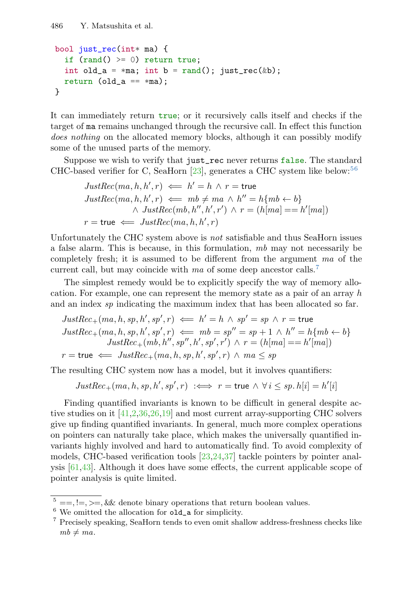```
486 Y. Matsushita et al.
```

```
bool just_rec(int* ma) {
  if (rand() \ge 0) return true;
  int old_a = *ma; int b = rand(); just_rec(&b);
 return (old_a == *ma);
}
```
It can immediately return true; or it recursively calls itself and checks if the target of ma remains unchanged through the recursive call. In effect this function does nothing on the allocated memory blocks, although it can possibly modify some of the unused parts of the memory.

Suppose we wish to verify that just\_rec never returns false. The standard CHC-based verifier for C, SeaHorn [\[23\]](#page-26-3), generates a CHC system like below:  $56$  $56$ 

$$
JustRec(ma, h, h', r) \iff h' = h \land r = \text{true}
$$
  

$$
JustRec(ma, h, h', r) \iff mb \neq ma \land h'' = h\{mb \leftarrow b\}
$$
  

$$
\land JustRec(mb, h'', h', r') \land r = (h[ma] == h'[ma])
$$
  

$$
r = \text{true} \iff JustRec(ma, h, h', r)
$$

Unfortunately the CHC system above is not satisfiable and thus SeaHorn issues a false alarm. This is because, in this formulation, mb may not necessarily be completely fresh; it is assumed to be different from the argument ma of the current call, but may coincide with ma of some deep ancestor calls.<sup>[7](#page-2-2)</sup>

The simplest remedy would be to explicitly specify the way of memory allocation. For example, one can represent the memory state as a pair of an array h and an index sp indicating the maximum index that has been allocated so far.

$$
JustRec_{+}(ma, h, sp, h', sp', r) \iff h' = h \land sp' = sp \land r = \text{true}
$$
  
\n
$$
JustRec_{+}(ma, h, sp, h', sp', r) \iff mb = sp'' = sp + 1 \land h'' = h \{ mb \leftarrow b \}
$$
  
\n
$$
JustRec_{+}(mb, h'', sp', h', sp', r') \land r = (h[ma] == h'[ma])
$$
  
\n
$$
r = \text{true} \iff JustRec_{+}(ma, h, sp, h', sp', r) \land ma \le sp
$$

The resulting CHC system now has a model, but it involves quantifiers:

 $JustRec_{+}(ma, h, sp, h', sp', r) \iff r = \text{true} \land \forall i \leq sp. h[i] = h'[i]$ 

Finding quantified invariants is known to be difficult in general despite active studies on it [\[41,](#page-28-4)[2](#page-25-2)[,36,](#page-27-4)[26,](#page-27-5)[19\]](#page-26-4) and most current array-supporting CHC solvers give up finding quantified invariants. In general, much more complex operations on pointers can naturally take place, which makes the universally quantified invariants highly involved and hard to automatically find. To avoid complexity of models, CHC-based verification tools [\[23,](#page-26-3)[24](#page-27-6)[,37\]](#page-28-2) tackle pointers by pointer analysis [\[61](#page-29-2)[,43\]](#page-28-5). Although it does have some effects, the current applicable scope of pointer analysis is quite limited.

<span id="page-2-0"></span> $^{5}$  ==, !=, >=, && denote binary operations that return boolean values.

<span id="page-2-1"></span> $^6$  We omitted the allocation for  $\texttt{old\_a}$  for simplicity.

<span id="page-2-2"></span><sup>7</sup> Precisely speaking, SeaHorn tends to even omit shallow address-freshness checks like  $mb \neq ma$ .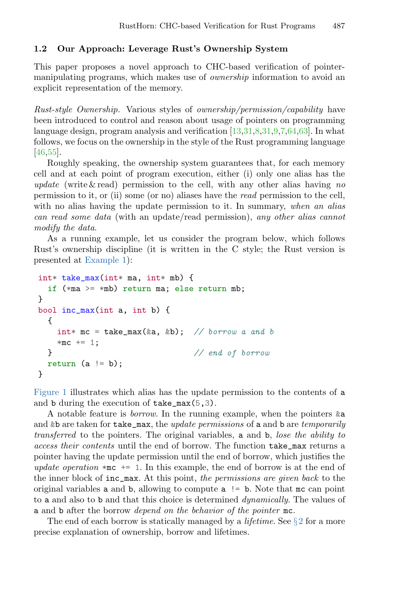#### <span id="page-3-0"></span>1.2 Our Approach: Leverage Rust's Ownership System

This paper proposes a novel approach to CHC-based verification of pointermanipulating programs, which makes use of ownership information to avoid an explicit representation of the memory.

Rust-style Ownership. Various styles of ownership/permission/capability have been introduced to control and reason about usage of pointers on programming language design, program analysis and verification [\[13,](#page-26-5)[31,](#page-27-7)[8](#page-25-3)[,31,](#page-27-7)[9,](#page-25-4)[7,](#page-25-5)[64,](#page-30-0)[63\]](#page-29-3). In what follows, we focus on the ownership in the style of the Rust programming language [\[46](#page-28-6)[,55\]](#page-29-4).

Roughly speaking, the ownership system guarantees that, for each memory cell and at each point of program execution, either (i) only one alias has the update (write  $\&$  read) permission to the cell, with any other alias having no permission to it, or (ii) some (or no) aliases have the read permission to the cell, with no alias having the update permission to it. In summary, when an alias can read some data (with an update/read permission), any other alias cannot modify the data.

As a running example, let us consider the program below, which follows Rust's ownership discipline (it is written in the C style; the Rust version is presented at [Example 1\)](#page-7-0):

```
int* take_max(int* ma, int* mb) {
 if (*ma >= *mb) return ma; else return mb;
}
bool inc_max(int a, int b) {
 {
   int* mc = take_max(&a, &b); // borrow a and b
   *mc += 1;
 } // end of borrow
 return (a := b);
}
```
[Figure 1](#page-4-0) illustrates which alias has the update permission to the contents of a and b during the execution of take\_max(5,3).

A notable feature is *borrow*. In the running example, when the pointers  $\&a$ and &b are taken for take\_max, the update permissions of a and b are temporarily transferred to the pointers. The original variables, a and b, lose the ability to access their contents until the end of borrow. The function take\_max returns a pointer having the update permission until the end of borrow, which justifies the update operation  $*\mathbf{mc}$  += 1. In this example, the end of borrow is at the end of the inner block of inc\_max. At this point, the permissions are given back to the original variables a and b, allowing to compute a != b. Note that mc can point to a and also to b and that this choice is determined dynamically. The values of a and b after the borrow depend on the behavior of the pointer mc.

The end of each borrow is statically managed by a *lifetime*. See  $\S 2$  $\S 2$  for a more precise explanation of ownership, borrow and lifetimes.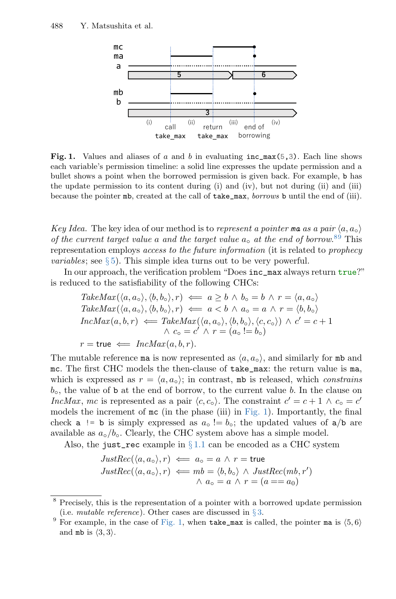<span id="page-4-0"></span>

Fig. 1. Values and aliases of a and b in evaluating  $inc_{max}(5,3)$ . Each line shows each variable's permission timeline: a solid line expresses the update permission and a bullet shows a point when the borrowed permission is given back. For example, b has the update permission to its content during (i) and (iv), but not during (ii) and (iii) because the pointer mb, created at the call of take\_max, borrows b until the end of (iii).

Key Idea. The key idea of our method is to represent a pointer ma as a pair  $\langle a, a_{\alpha} \rangle$ of the current target value a and the target value  $a_0$  at the end of borrow.<sup>[8](#page-4-1)[9](#page-4-2)</sup> This representation employs access to the future information (it is related to prophecy *variables*; see  $\S 5$ ). This simple idea turns out to be very powerful.

In our approach, the verification problem "Does inc\_max always return true?" is reduced to the satisfiability of the following CHCs:

TakeMax(
$$
\langle a, a_{\circ} \rangle, \langle b, b_{\circ} \rangle, r
$$
)  $\Leftarrow a \ge b \land b_{\circ} = b \land r = \langle a, a_{\circ} \rangle$   
\nTakeMax( $\langle a, a_{\circ} \rangle, \langle b, b_{\circ} \rangle, r$ )  $\Leftarrow a < b \land a_{\circ} = a \land r = \langle b, b_{\circ} \rangle$   
\nIncMax( $a, b, r$ )  $\Leftarrow$  TakeMax( $\langle a, a_{\circ} \rangle, \langle b, b_{\circ} \rangle, \langle c, c_{\circ} \rangle$ )  $\land c' = c + 1$   
\n $\land c_{\circ} = c' \land r = (a_{\circ} != b_{\circ})$   
\n $r = \text{true} \Leftarrow IncMax(a, b, r)$ .

The mutable reference ma is now represented as  $\langle a, a_o \rangle$ , and similarly for mb and mc. The first CHC models the then-clause of take\_max: the return value is ma, which is expressed as  $r = \langle a, a_{\rm o} \rangle$ ; in contrast, mb is released, which constrains  $b_{\rm o}$ , the value of b at the end of borrow, to the current value b. In the clause on IncMax, mc is represented as a pair  $\langle c, c_0 \rangle$ . The constraint  $c' = c + 1 \wedge c_0 = c'$ models the increment of mc (in the phase (iii) in [Fig. 1\)](#page-4-0). Importantly, the final check **a** != **b** is simply expressed as  $a_0 := b_0$ ; the updated values of **a**/**b** are available as  $a_{\circ}/b_{\circ}$ . Clearly, the CHC system above has a simple model.

Also, the just\_rec example in  $\S 1.1$  $\S 1.1$  can be encoded as a CHC system

$$
JustRec(\langle a, a_o \rangle, r) \iff a_o = a \land r = \text{true}
$$
  

$$
JustRec(\langle a, a_o \rangle, r) \iff mb = \langle b, b_o \rangle \land JustRec(mb, r')
$$
  

$$
\land a_o = a \land r = (a == a_0)
$$

<span id="page-4-1"></span><sup>8</sup> Precisely, this is the representation of a pointer with a borrowed update permission (i.e. *mutable reference*). Other cases are discussed in  $\S 3$ .

<span id="page-4-2"></span><sup>&</sup>lt;sup>9</sup> For example, in the case of [Fig. 1,](#page-4-0) when take\_max is called, the pointer ma is  $(5, 6)$ and mb is  $\langle 3, 3 \rangle$ .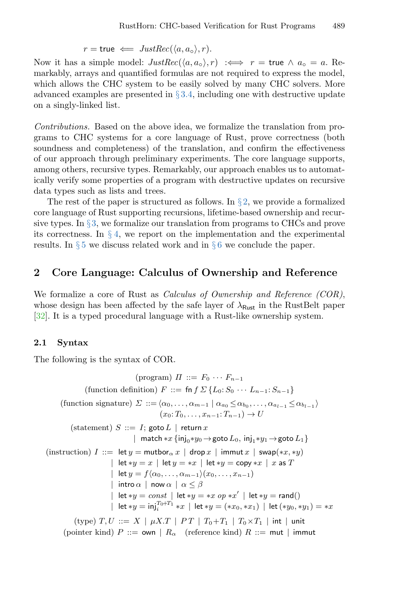$r = \text{true} \iff JustRec(\langle a, a_{\circ} \rangle, r).$ 

Now it has a simple model:  $JustRec(\langle a, a_{\circ} \rangle, r) \iff r = \text{true} \land a_{\circ} = a$ . Remarkably, arrays and quantified formulas are not required to express the model, which allows the CHC system to be easily solved by many CHC solvers. More advanced examples are presented in  $\S 3.4$ , including one with destructive update on a singly-linked list.

Contributions. Based on the above idea, we formalize the translation from programs to CHC systems for a core language of Rust, prove correctness (both soundness and completeness) of the translation, and confirm the effectiveness of our approach through preliminary experiments. The core language supports, among others, recursive types. Remarkably, our approach enables us to automatically verify some properties of a program with destructive updates on recursive data types such as lists and trees.

The rest of the paper is structured as follows. In  $\S 2$ , we provide a formalized core language of Rust supporting recursions, lifetime-based ownership and recursive types. In §[3,](#page-11-0) we formalize our translation from programs to CHCs and prove its correctness. In  $\S 4$ , we report on the implementation and the experimental results. In  $\S 5$  $\S 5$  we discuss related work and in  $\S 6$  $\S 6$  we conclude the paper.

# <span id="page-5-0"></span>2 Core Language: Calculus of Ownership and Reference

We formalize a core of Rust as *Calculus of Ownership and Reference (COR)*, whose design has been affected by the safe layer of  $\lambda_{\text{Rust}}$  in the RustBelt paper [\[32\]](#page-27-8). It is a typed procedural language with a Rust-like ownership system.

#### <span id="page-5-1"></span>2.1 Syntax

The following is the syntax of COR.

$$
(program) \nPi ::= F_0 \cdots F_{n-1}
$$
\n(function definition)  $F ::= \ninf \Sigma \{L_0: S_0 \cdots L_{n-1}: S_{n-1}\}\$ 

\n(function signature)  $\Sigma ::= \langle \alpha_0, \ldots, \alpha_{m-1} \mid \alpha_{a_0} \leq \alpha_{b_0}, \ldots, \alpha_{a_{l-1}} \leq \alpha_{b_{l-1}} \rangle$ 

\n(x<sub>0</sub>: T<sub>0</sub>, ..., x<sub>n-1</sub>: T<sub>n-1</sub>) → U

\n(statement)  $S ::= I$ ;  $\n$ goto  $L \mid \n$  return  $x$ 

\n| match  $\ast x \{inj_0 * y_0 \rightarrow \n$ goto  $L_0, inj_1 * y_1 \rightarrow \n$ goto  $L_1\}$ 

\n(instruction)  $I ::= \n$ let  $y = \n$ auto  $\alpha x \mid \n$ drop  $x \mid \n$ immut  $x \mid \n$ swap(\* $x, *y$ )\n| let  $\ast y = x \mid \n$ let  $\ast y = \n\ast x \mid \n$ let  $\ast y = \n$ copy  $\ast x \mid x$  as  $T$ 

\n| let  $\ast y = f \langle \alpha_0, \ldots, \alpha_{m-1} \rangle (x_0, \ldots, x_{n-1})$ 

\n| into  $\alpha \mid \n$ now  $\alpha \mid \alpha \leq \beta$ 

\n| let  $\ast y = \n$ envs  $x' \mid \n$ let  $\ast y = \n$ rand()\n| let  $\ast y = \n$ inf<sub>i</sub> <sup>T<sub>0</sub>+T<sub>1</sub>  $\ast x \mid \n$ let  $\ast y = (\ast x_0, \ast x_1) \mid \n$ let  $(\ast y_0, \ast y_1) = \n\ast x$</sup> 

\n(type)  $T, U ::= X \mid \n$ μX.  $T \mid PT \mid T_0 + T_1 \mid T_0 \times T_1 \mid \n$ int | unit

(pointer kind)  $P ::= \text{own} \mid R_{\alpha}$  (reference kind)  $R ::= \text{mut} \mid \text{immut}$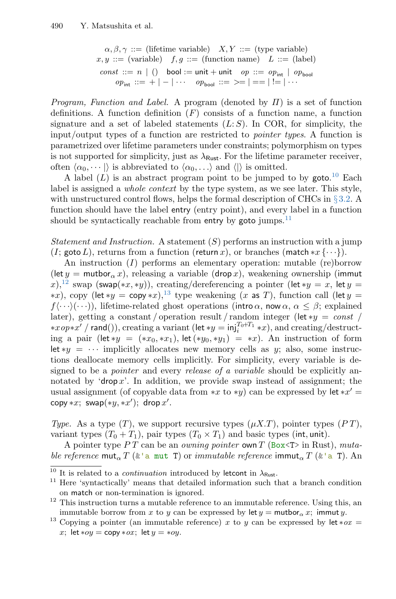```
\alpha, \beta, \gamma ::= (lifetime variable) X, Y ::= (type variable)
x, y ::= (variable) f, g ::= (function name) L ::= (label)
const ::= n | () bool := unit + unit op ::= op<sub>int</sub> | op<sub>hool</sub>
      op_{\text{int}} ::= + | – | ··· op_{\text{bool}} ::= >= | == | != | ···
```
*Program, Function and Label.* A program (denoted by  $\Pi$ ) is a set of function definitions. A function definition  $(F)$  consists of a function name, a function signature and a set of labeled statements  $(L: S)$ . In COR, for simplicity, the input/output types of a function are restricted to pointer types. A function is parametrized over lifetime parameters under constraints; polymorphism on types is not supported for simplicity, just as  $\lambda_{\text{Rust}}$ . For the lifetime parameter receiver, often  $\langle \alpha_0, \cdots \rangle$  is abbreviated to  $\langle \alpha_0, \cdots \rangle$  and  $\langle \cdot \rangle$  is omitted.

A label  $(L)$  is an abstract program point to be jumped to by goto.<sup>[10](#page-6-0)</sup> Each label is assigned a whole context by the type system, as we see later. This style, with unstructured control flows, helps the formal description of CHCs in  $\S 3.2$ . A function should have the label entry (entry point), and every label in a function should be syntactically reachable from entry by goto jumps. $^{11}$  $^{11}$  $^{11}$ 

Statement and Instruction. A statement  $(S)$  performs an instruction with a jump (I; goto L), returns from a function (return x), or branches (match  $*x \{\cdots\}$ ).

An instruction (I) performs an elementary operation: mutable (re)borrow (let  $y =$  mutbor<sub> $\alpha$ </sub> x), releasing a variable (drop x), weakening ownership (immut x),<sup>[12](#page-6-2)</sup> swap (swap(\*x, \*y)), creating/dereferencing a pointer (let \*y = x, let y = \*x), copy (let \*y = copy \*x),<sup>[13](#page-6-3)</sup> type weakening (x as T), function call (let y =  $f(\cdot\cdot\cdot)(\cdot\cdot\cdot)$ , lifetime-related ghost operations (intro  $\alpha$ , now  $\alpha, \alpha \leq \beta$ ; explained later), getting a constant / operation result / random integer (let \*y = const / \**xop*\**x'* / rand()), creating a variant (let \**y* =  $\text{inj}_{i}^{T_0+T_1}$  \**x*), and creating/destructing a pair (let \*y = (\*x<sub>0</sub>, \*x<sub>1</sub>), let (\*y<sub>0</sub>, \*y<sub>1</sub>) = \*x). An instruction of form let  $*y = \cdots$  implicitly allocates new memory cells as y; also, some instructions deallocate memory cells implicitly. For simplicity, every variable is designed to be a *pointer* and every *release of a variable* should be explicitly annotated by 'drop x'. In addition, we provide swap instead of assignment; the usual assignment (of copyable data from \*x to \*y) can be expressed by  $\text{let } *x' =$ copy  $*x$ ; swap $(*y, *x')$ ; drop  $x'$ .

Type. As a type  $(T)$ , we support recursive types  $(\mu X.T)$ , pointer types  $(PT)$ , variant types  $(T_0 + T_1)$ , pair types  $(T_0 \times T_1)$  and basic types (int, unit).

A pointer type P T can be an owning pointer own T (Box  $\leq$  T in Rust), mutable reference mut<sub>a</sub> T ( $\&$ 'a mut T) or *immutable reference* immut<sub>a</sub> T ( $\&$ 'a T). An

<span id="page-6-0"></span> $\frac{10}{10}$  It is related to a *continuation* introduced by letcont in  $\lambda_{\text{Rust}}$ .

<span id="page-6-1"></span><sup>11</sup> Here 'syntactically' means that detailed information such that a branch condition on match or non-termination is ignored.

<span id="page-6-2"></span> $12$  This instruction turns a mutable reference to an immutable reference. Using this, an immutable borrow from x to y can be expressed by let  $y =$  mutbor<sub> $\alpha$ </sub> x; immut y.

<span id="page-6-3"></span><sup>&</sup>lt;sup>13</sup> Copying a pointer (an immutable reference) x to y can be expressed by let  $*ox =$ x; let  $*oy = \text{copy} *ox$ ; let  $y = *oy$ .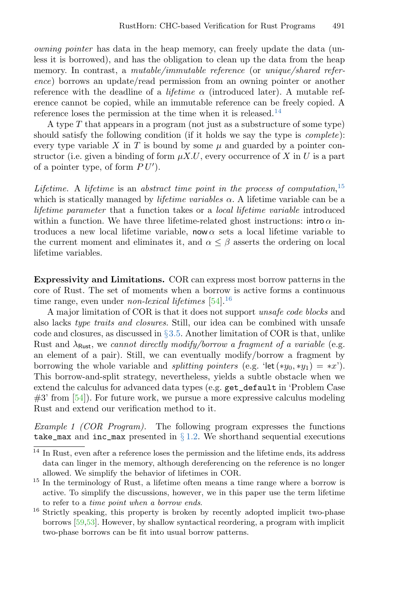owning pointer has data in the heap memory, can freely update the data (unless it is borrowed), and has the obligation to clean up the data from the heap memory. In contrast, a mutable/immutable reference (or unique/shared reference) borrows an update/read permission from an owning pointer or another reference with the deadline of a *lifetime*  $\alpha$  (introduced later). A mutable reference cannot be copied, while an immutable reference can be freely copied. A reference loses the permission at the time when it is released.<sup>[14](#page-7-1)</sup>

A type  $T$  that appears in a program (not just as a substructure of some type) should satisfy the following condition (if it holds we say the type is complete): every type variable X in T is bound by some  $\mu$  and guarded by a pointer constructor (i.e. given a binding of form  $\mu X.U$ , every occurrence of X in U is a part of a pointer type, of form  $PU'$ ).

Lifetime. A lifetime is an abstract time point in the process of computation,  $15$ which is statically managed by *lifetime variables*  $\alpha$ . A lifetime variable can be a lifetime parameter that a function takes or a local lifetime variable introduced within a function. We have three lifetime-related ghost instructions: intro  $\alpha$  introduces a new local lifetime variable, now  $\alpha$  sets a local lifetime variable to the current moment and eliminates it, and  $\alpha \leq \beta$  asserts the ordering on local lifetime variables.

<span id="page-7-4"></span>Expressivity and Limitations. COR can express most borrow patterns in the core of Rust. The set of moments when a borrow is active forms a continuous time range, even under *non-lexical lifetimes* [\[54\]](#page-29-5).<sup>[16](#page-7-3)</sup>

A major limitation of COR is that it does not support unsafe code blocks and also lacks type traits and closures. Still, our idea can be combined with unsafe code and closures, as discussed in  $\S 3.5$ . Another limitation of COR is that, unlike Rust and  $\lambda_{\text{Rust}}$ , we cannot directly modify/borrow a fragment of a variable (e.g. an element of a pair). Still, we can eventually modify/borrow a fragment by borrowing the whole variable and *splitting pointers* (e.g. 'let (\* $y_0, *y_1$ ) = \*x'). This borrow-and-split strategy, nevertheless, yields a subtle obstacle when we extend the calculus for advanced data types (e.g. get\_default in 'Problem Case  $#3'$  from [\[54\]](#page-29-5)). For future work, we pursue a more expressive calculus modeling Rust and extend our verification method to it.

<span id="page-7-0"></span>Example 1 (COR Program). The following program expresses the functions take\_max and inc\_max presented in  $\S 1.2$ . We shorthand sequential executions

<span id="page-7-1"></span> $^{\rm 14}$  In Rust, even after a reference loses the permission and the lifetime ends, its address data can linger in the memory, although dereferencing on the reference is no longer allowed. We simplify the behavior of lifetimes in COR.

<span id="page-7-2"></span><sup>&</sup>lt;sup>15</sup> In the terminology of Rust, a lifetime often means a time range where a borrow is active. To simplify the discussions, however, we in this paper use the term lifetime to refer to a time point when a borrow ends.

<span id="page-7-3"></span><sup>&</sup>lt;sup>16</sup> Strictly speaking, this property is broken by recently adopted implicit two-phase borrows [\[59,](#page-29-6)[53\]](#page-29-7). However, by shallow syntactical reordering, a program with implicit two-phase borrows can be fit into usual borrow patterns.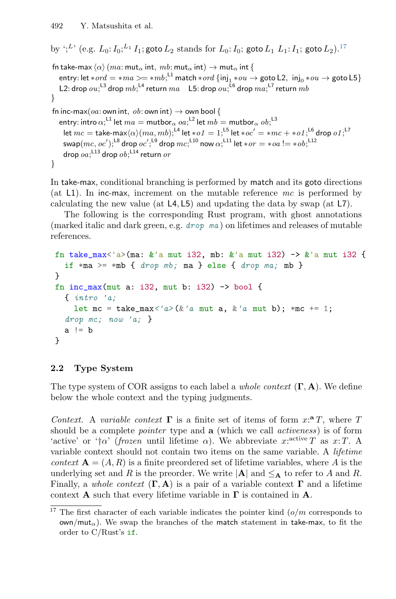```
by ';<sup>L'</sup> (e.g. L_0: I_0:<sup>L<sub>1</sub></sup> I_1; goto L_2 stands for L_0: I_0; goto L_1 L_1: I_1; goto L_217</sup>
fn take-max \langle \alpha \rangle (ma: mut<sub>α</sub> int, mb: mut<sub>α</sub> int) \rightarrow mut<sub>α</sub> int {
    entry: let *ord = *ma >= *mb;^{\text{L1}} match *ord \{\text{inj}_1 * ou \rightarrow \text{goto L2}, \text{ inj}_0 * ou \rightarrow \text{goto L5}\}L2: drop ou; ^{\mathsf{L3}} drop mb; ^{\mathsf{L4}} return ma-\mathsf{L5}: drop ou; ^{\mathsf{L6}} drop ma; ^{\mathsf{L7}} return mb}
fn inc-max(oa: own int, ob: own int) \rightarrow own bool {
    entry: intro \alpha;^{\mathsf{L1}} let ma = {\mathsf{m}}utbor_\alpha oa;^{\mathsf{L2}} let mb = {\mathsf{m}}utbor_\alpha ob;^{\mathsf{L3}}let mc= take-max\langle \alpha \rangle (ma, mb);^{14} let *o1=1;^{15} let *oc'=\ast mc+ *o1;^{16} drop o1;^{17}swap(mc,oc');^{\mathsf{L8}} drop oc';^{\mathsf{L9}} drop mc;^{\mathsf{L10}} now \alpha;^{\mathsf{L11}} let *or = *oa := *ob;^{\mathsf{L12}}drop oa;^{\mathsf{L}13} drop ob;^{\mathsf{L}14} return or}
```
In take-max, conditional branching is performed by match and its goto directions (at  $L1$ ). In inc-max, increment on the mutable reference mc is performed by calculating the new value (at  $L4, L5$ ) and updating the data by swap (at  $L7$ ).

The following is the corresponding Rust program, with ghost annotations (marked italic and dark green, e.g.  $\text{drop}$  ma) on lifetimes and releases of mutable references.

```
fn take_max<'a>(ma: \&'a mut i32, mb: \&'a mut i32) -> \&'a mut i32 {
  if *ma >= *mb { drop mb; ma } else { drop ma; mb }
}
fn inc_max(mut a: i32, mut b: i32) \rightarrow bool {
  { intro 'a;
    let mc = take_max<'a>(&'a mut a, &'a mut b); *mc += 1;
  drop mc; now 'a; }
  a := b}
```
# 2.2 Type System

The type system of COR assigns to each label a *whole context*  $(\Gamma, A)$ . We define below the whole context and the typing judgments.

Context. A variable context  $\Gamma$  is a finite set of items of form  $x: \mathbf{A}^T$ , where T should be a complete *pointer* type and **a** (which we call *activeness*) is of form 'active' or ' $\dagger \alpha$ ' (frozen until lifetime  $\alpha$ ). We abbreviate x:<sup>active</sup> T as x: T. A variable context should not contain two items on the same variable. A lifetime context  $\mathbf{A} = (A, R)$  is a finite preordered set of lifetime variables, where A is the underlying set and R is the preorder. We write  $|\mathbf{A}|$  and  $\leq_{\mathbf{A}}$  to refer to A and R. Finally, a whole context  $(\Gamma, A)$  is a pair of a variable context  $\Gamma$  and a lifetime context **A** such that every lifetime variable in  $\Gamma$  is contained in **A**.

<span id="page-8-0"></span><sup>&</sup>lt;sup>17</sup> The first character of each variable indicates the pointer kind  $(o/m$  corresponds to  $own/mut_{\alpha}$ ). We swap the branches of the match statement in take-max, to fit the order to C/Rust's if.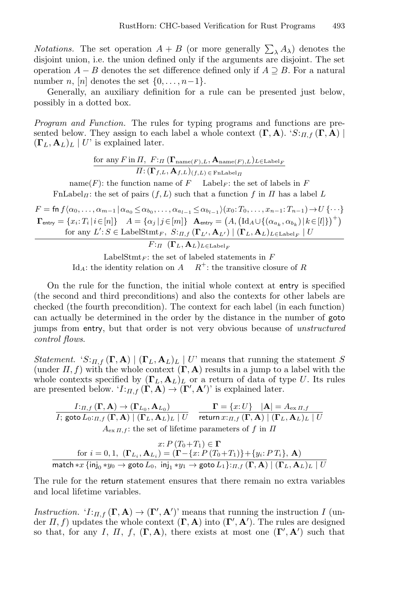*Notations*. The set operation  $A + B$  (or more generally  $\sum_{\lambda} A_{\lambda}$ ) denotes the disjoint union, i.e. the union defined only if the arguments are disjoint. The set operation  $A - B$  denotes the set difference defined only if  $A \supseteq B$ . For a natural number n, [n] denotes the set  $\{0, \ldots, n-1\}$ .

Generally, an auxiliary definition for a rule can be presented just below, possibly in a dotted box.

Program and Function. The rules for typing programs and functions are presented below. They assign to each label a whole context  $(\Gamma, A)$ . ' $S:_{\Pi,f}(\Gamma, A)$  $(\mathbf{\Gamma}_L, \mathbf{A}_L)_L \mid U'$  is explained later.

> ${\rm for\,\, any}\, F {\rm\, in}\, \varPi,\,\, F {\rm:}_\varPi\left({\bf \Gamma}_{{\rm name}(F),L},{\bf A}_{{\rm name}(F),L}\right)_{L\in {\rm Label}_F}$  $\Pi\!:\!(\mathbf{\Gamma}_{f,L},\mathbf{A}_{f,L})_{(f,L)\,\in\,\mathbf{FnLabel}_{\Pi}}$

name(F): the function name of F Label<sub>F</sub>: the set of labels in F  $\text{FnLabel}_{\Pi}$ : the set of pairs  $(f, L)$  such that a function f in  $\Pi$  has a label L

 $F = \text{fn } f(\alpha_0, \ldots, \alpha_{m-1} | \alpha_{a_0} \leq \alpha_{b_0}, \ldots, \alpha_{a_{l-1}} \leq \alpha_{b_{l-1}})(x_0; T_0, \ldots, x_{n-1}; T_{n-1}) \rightarrow U \{\cdots\}$  $\mathbf{\Gamma}_{\mathsf{entry}} = \{x_i \mathpunct{:}T_i \, | \, i \!\in\! [n]\} \quad A = \{\alpha_j \, | \, j \!\in\! [m]\} \quad \mathbf{A}_{\mathsf{entry}} = \big(A, \big(\mathrm{Id}_A \cup \{(\alpha_{a_k}, \alpha_{b_k}) \, | \, k \!\in\! [l]\}\big)^\top\big)$ for any  $L' : S \in \text{LabelStmt}_F$ ,  $S:_{\Pi,f}(\Gamma_{L'}, \mathbf{A}_{L'}) | (\mathbf{\Gamma}_L, \mathbf{A}_L)_{L \in \text{Label}_F} | U$ 

 $F:$ Π  $( \Gamma_L, \mathbf{A}_L)_{L \in \text{Label } F}$ 

LabelStmt<sub>F</sub>: the set of labeled statements in  $F$ Id<sub>A</sub>: the identity relation on  $A$   $R^+$ : the transitive closure of R

On the rule for the function, the initial whole context at entry is specified (the second and third preconditions) and also the contexts for other labels are checked (the fourth precondition). The context for each label (in each function) can actually be determined in the order by the distance in the number of goto jumps from entry, but that order is not very obvious because of unstructured control flows.

*Statement.* ' $S:_{\Pi,f}(\Gamma, A) | (\Gamma_L, A_L)_{L} | U'$  means that running the statement S (under  $\Pi$ , f) with the whole context  $(\Gamma, A)$  results in a jump to a label with the whole contexts specified by  $(\mathbf{\Gamma}_L, \mathbf{A}_L)$  or a return of data of type U. Its rules are presented below.  $'I:_{\Pi,f}(\Gamma, \mathbf{A}) \to (\Gamma', \mathbf{A}')$  is explained later.

$$
\frac{I:_{\Pi,f}(\Gamma,\mathbf{A}) \to (\Gamma_{L_0},\mathbf{A}_{L_0})}{I; \text{goto } L_0:_{\Pi,f}(\Gamma,\mathbf{A}) \mid (\Gamma_L,\mathbf{A}_L)_L \mid U} \xrightarrow[\text{return } x:_{\Pi,f}(\Gamma,\mathbf{A}) \mid (\Gamma_L,\mathbf{A}_L)_L \mid U}
$$
\n
$$
A_{\text{ex }\Pi,f}: \text{the set of lifetime parameters of } f \text{ in } \Pi
$$

$$
x: P(T_0+T_1) \in \Gamma
$$
  
for  $i = 0, 1$ ,  $(\Gamma_{L_i}, \mathbf{A}_{L_i}) = (\Gamma - \{x: P(T_0+T_1)\} + \{y_i: P(T_i\}, \mathbf{A})$   
match  $*x \{inj_0 * y_0 \rightarrow \text{goto } L_0, inj_1 * y_1 \rightarrow \text{goto } L_1\}:_{\Pi, f} (\Gamma, \mathbf{A}) | ( \Gamma_L, \mathbf{A}_L)_L | U$ 

The rule for the return statement ensures that there remain no extra variables and local lifetime variables.

Instruction. ' $I:_{\Pi,f}(\Gamma, A) \to (\Gamma', A')'$  means that running the instruction I (under  $\Pi$ , f) updates the whole context  $(\Gamma, A)$  into  $(\Gamma', A')$ . The rules are designed so that, for any I, II, f,  $(\Gamma, A)$ , there exists at most one  $(\Gamma', A')$  such that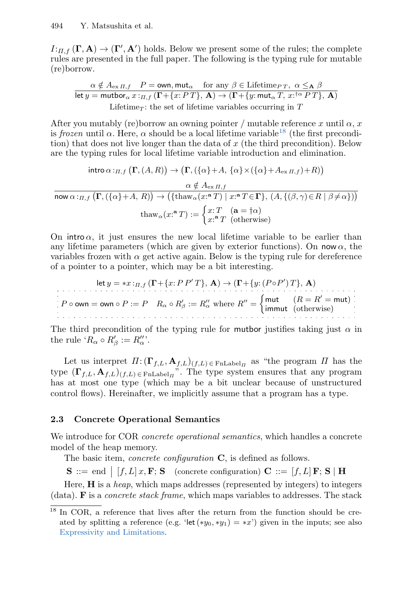$I:_{\Pi,f}(\Gamma,\mathbf A)\to (\Gamma',\mathbf A')$  holds. Below we present some of the rules; the complete rules are presented in the full paper. The following is the typing rule for mutable (re)borrow.

$$
\alpha \notin A_{\text{ex } \Pi, f} \quad P = \text{own, mut}_{\alpha} \quad \text{for any } \beta \in \text{Lifetime}_{PT}, \ \alpha \leq_{\mathbf{A}} \beta
$$
\n
$$
\text{let } y = \text{mutbor}_{\alpha} x :_{\Pi, f} (\Gamma + \{x : PT\}, \mathbf{A}) \to (\Gamma + \{y : \text{mut}_{\alpha} T, x : ^{\text{tr}} \alpha PT\}, \mathbf{A})
$$
\n
$$
\text{Lifetime}_{T}: \text{the set of lifetime variables occurring in } T
$$

After you mutably (re)borrow an owning pointer / mutable reference x until  $\alpha$ , x is frozen until  $\alpha$ . Here,  $\alpha$  should be a local lifetime variable<sup>[18](#page-10-0)</sup> (the first precondition) that does not live longer than the data of  $x$  (the third precondition). Below are the typing rules for local lifetime variable introduction and elimination.

$$
\begin{aligned}\n\text{intro } \alpha:_{\Pi,f} \left( \Gamma, (A,R) \right) &\to \left( \Gamma, (\{\alpha\}+A, \{\alpha\} \times (\{\alpha\}+A_{\text{ex }\Pi,f})+R) \right) \\
&\quad \alpha \notin A_{\text{ex }\Pi,f} \\
\frac{\alpha \notin A_{\text{ex }\Pi,f}}{\text{now } \alpha:_{\Pi,f} \left( \Gamma, (\{\alpha\}+A, R) \right) \to (\{\text{thaw}_{\alpha}(x:\mathbf{a}\ T) \mid x:\mathbf{a}\ T \in \Gamma\}, (A, \{(\beta, \gamma)\in R \mid \beta \neq \alpha\})\right) \\
&\quad \text{thaw}_{\alpha}(x:\mathbf{a}\ T) := \begin{cases} x: T \quad (\mathbf{a} = \dagger \alpha) \\
x: \mathbf{a}\ T \quad (\text{otherwise})\n\end{cases}\n\end{aligned}
$$

On intro  $\alpha$ , it just ensures the new local lifetime variable to be earlier than any lifetime parameters (which are given by exterior functions). On now  $\alpha$ , the variables frozen with  $\alpha$  get active again. Below is the typing rule for dereference of a pointer to a pointer, which may be a bit interesting.

$$
\text{let } y = *x :_{\Pi, f} (\Gamma + \{x : P \ P' \ T\}, \ \mathbf{A}) \to (\Gamma + \{y : (P \circ P') \ T\}, \ \mathbf{A})
$$
\n
$$
P \circ \text{own} = \text{own } \circ P := P \quad R_{\alpha} \circ R_{\beta}' := R_{\alpha}'' \text{ where } R'' = \begin{cases} \text{mut} & (R = R' = \text{mut}) \\ \text{immut} & (\text{otherwise}) \end{cases}
$$

The third precondition of the typing rule for mutbor justifies taking just  $\alpha$  in the rule ' $R_{\alpha} \circ R_{\beta}':= R_{\alpha}'''.$ 

Let us interpret  $\Pi: (\Gamma_{f,L}, \mathbf{A}_{f,L})_{(f,L)\in\text{FnLabel}_{\Pi}}$  as "the program  $\Pi$  has the type  $(\Gamma_{f,L}, \mathbf{A}_{f,L})_{(f,L)\in \text{FnLabel}_{\Pi}}$ ". The type system ensures that any program has at most one type (which may be a bit unclear because of unstructured control flows). Hereinafter, we implicitly assume that a program has a type.

## 2.3 Concrete Operational Semantics

We introduce for COR *concrete operational semantics*, which handles a concrete model of the heap memory.

The basic item, *concrete configuration*  $C$ , is defined as follows.

 $\mathbf{S}$  ::= end  $\mid [f, L] x, \mathbf{F}; \mathbf{S} \mid \text{concrete configuration}$   $\mathbf{C}$  ::=  $[f, L] \mathbf{F}; \mathbf{S} \mid \mathbf{H}$ 

Here,  $H$  is a *heap*, which maps addresses (represented by integers) to integers (data). **F** is a *concrete stack frame*, which maps variables to addresses. The stack

<span id="page-10-0"></span><sup>&</sup>lt;sup>18</sup> In COR, a reference that lives after the return from the function should be created by splitting a reference (e.g. 'let  $(*y_0, *y_1) = *x'$ ) given in the inputs; see also [Expressivity and Limitations.](#page-7-4)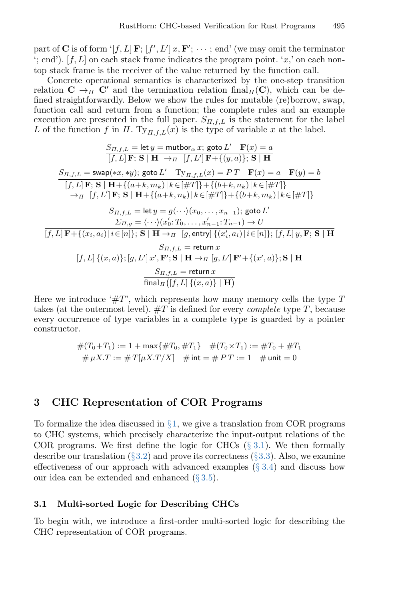part of **C** is of form '[f, L] **F**;  $[f', L']$  x, **F'**;  $\cdots$  ; end' (we may omit the terminator  $\cdot$ ; end'). [f, L] on each stack frame indicates the program point.  $\cdot x$ , on each nontop stack frame is the receiver of the value returned by the function call.

Concrete operational semantics is characterized by the one-step transition relation  $C \rightarrow \pi C'$  and the termination relation final $\pi(C)$ , which can be defined straightforwardly. Below we show the rules for mutable (re)borrow, swap, function call and return from a function; the complete rules and an example execution are presented in the full paper.  $S_{\Pi,f,L}$  is the statement for the label L of the function f in  $\Pi$ . Ty<sub> $\Pi$ ,  $f_L(x)$ </sub> is the type of variable x at the label.

$$
S_{\Pi,f,L} = \text{let } y = \text{mutbor}_{\alpha} x; \text{ goto } L' \quad \mathbf{F}(x) = a
$$
\n
$$
[f, L] \mathbf{F}; \mathbf{S} | \mathbf{H} \rightarrow_{\Pi} [f, L'] \mathbf{F} + \{(y, a)\}; \mathbf{S} | \mathbf{H}
$$
\n
$$
S_{\Pi,f,L} = \text{swap}(*x, *y); \text{ goto } L' \quad \text{Ty}_{\Pi,f,L}(x) = PT \quad \mathbf{F}(x) = a \quad \mathbf{F}(y) = b
$$
\n
$$
[f, L] \mathbf{F}; \mathbf{S} | \mathbf{H} + \{(a+k, m_k) | k \in [\#T] \} + \{(b+k, n_k) | k \in [\#T] \}
$$
\n
$$
\rightarrow_{\Pi} [f, L'] \mathbf{F}; \mathbf{S} | \mathbf{H} + \{(a+k, n_k) | k \in [\#T] \} + \{(b+k, m_k) | k \in [\#T] \}
$$
\n
$$
S_{\Pi,f,L} = \text{let } y = g\langle \cdots \rangle \langle x_0, \dots, x_{n-1}; \text{ goto } L'
$$
\n
$$
\boxed{f, L] \mathbf{F} + \{(x_i, a_i) | i \in [n] \}; \mathbf{S} | \mathbf{H} \rightarrow_{\Pi} [g, \text{entry}] \{ (x'_i, a_i) | i \in [n] \}; [f, L] \{y, \mathbf{F}; \mathbf{S} | \mathbf{H} \}
$$
\n
$$
S_{\Pi,f,L} = \text{return } x
$$
\n
$$
\boxed{f, L] \{(x, a) \}; [g, L'] \, x', \mathbf{F}'; \mathbf{S} | \mathbf{H} \rightarrow_{\Pi} [g, L'] \, \mathbf{F}' + \{(x', a) \}; \mathbf{S} | \mathbf{H} \}
$$
\n
$$
\boxed{S_{\Pi,f,L} = \text{return } x}
$$
\n
$$
\boxed{f, L] \{(x, a) \}; [g, L'] \, x', \mathbf{F}'; \mathbf{S} | \mathbf{H} \rightarrow_{\Pi} [g, L'] \, \mathbf{F}' + \{(x', a) \}; \mathbf{S} | \mathbf{H} \}
$$

Here we introduce  $\#T$ , which represents how many memory cells the type T takes (at the outermost level).  $\#T$  is defined for every *complete* type T, because every occurrence of type variables in a complete type is guarded by a pointer constructor.

$$
#(T_0+T_1) := 1 + \max\{\#T_0, \#T_1\} \quad #(T_0 \times T_1) := \#T_0 + \#T_1
$$
  

$$
\# \mu X.T := \#T[\mu X.T/X] \quad \# \text{ int} = \# PT := 1 \quad \# \text{ unit} = 0
$$

# <span id="page-11-0"></span>3 CHC Representation of COR Programs

To formalize the idea discussed in  $\S 1$ , we give a translation from COR programs to CHC systems, which precisely characterize the input-output relations of the COR programs. We first define the logic for CHCs  $(\S 3.1)$  $(\S 3.1)$ . We then formally describe our translation ( $\S 3.2$ ) and prove its correctness ( $\S 3.3$ ). Also, we examine effectiveness of our approach with advanced examples  $(\S 3.4)$  $(\S 3.4)$  and discuss how our idea can be extended and enhanced (§ [3.5\)](#page-18-0).

#### <span id="page-11-1"></span>3.1 Multi-sorted Logic for Describing CHCs

To begin with, we introduce a first-order multi-sorted logic for describing the CHC representation of COR programs.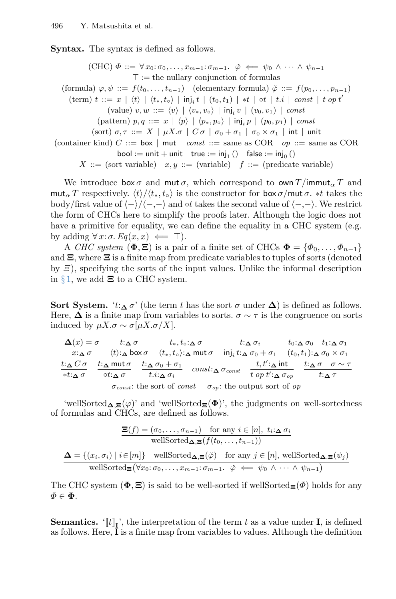Syntax. The syntax is defined as follows.

(CHC)  $\Phi ::= \forall x_0 : \sigma_0, \ldots, x_{m-1} : \sigma_{m-1}$ .  $\check{\varphi} \iff \psi_0 \land \cdots \land \psi_{n-1}$  $\top :=$  the nullary conjunction of formulas (formula)  $\varphi, \psi ::= f(t_0, \ldots, t_{n-1})$  (elementary formula)  $\check{\varphi} ::= f(p_0, \ldots, p_{n-1})$  $(\text{term}) \ t \ ::= \ x \ | \ \langle t \rangle \ | \ \langle t_*, t_\circ \rangle \ | \ \text{inj}_i \ t \ | \ (t_0, t_1) \ | \ *t \ | \ \text{ot} \ | \ t.i \ | \ \textit{const} \ | \ t \ \textit{op} \ t'$ (value)  $v, w ::= \langle v \rangle | \langle v_*, v_\circ \rangle | \mathsf{inj}_i v | (v_0, v_1) | const$ (pattern)  $p, q ::= x \mid \langle p \rangle \mid \langle p_*, p_0 \rangle \mid \mathsf{inj}_i p \mid (p_0, p_1) \mid const$ (sort)  $\sigma, \tau ::= X \mid \mu X. \sigma \mid C \sigma \mid \sigma_0 + \sigma_1 \mid \sigma_0 \times \sigma_1 \mid \text{int} \mid \text{unit}$ (container kind) C ::= box | mut const ::= same as COR op ::= same as COR bool := unit + unit  $true := inj_1()$  false := inj<sub>0</sub> ()  $X ::=$  (sort variable)  $x, y ::=$  (variable)  $f ::=$  (predicate variable)

We introduce  $\mathsf{box}\,\sigma$  and mut  $\sigma$ , which correspond to  $\mathsf{own}\,T/\mathsf{immut}_\alpha T$  and mut<sub>α</sub> T respectively.  $\langle t \rangle / \langle t_*, t_o \rangle$  is the constructor for box  $\sigma$ /mut  $\sigma$ . \*t takes the body/first value of  $\langle -\rangle/\langle -, -\rangle$  and  $\circ t$  takes the second value of  $\langle -, -\rangle$ . We restrict the form of CHCs here to simplify the proofs later. Although the logic does not have a primitive for equality, we can define the equality in a CHC system (e.g. by adding  $\forall x: \sigma$ .  $Eq(x, x) \iff \top$ ).

A CHC system  $(\Phi, \Xi)$  is a pair of a finite set of CHCs  $\Phi = {\Phi_0, \ldots, \Phi_{n-1}}$ and  $\Xi$ , where  $\Xi$  is a finite map from predicate variables to tuples of sorts (denoted by  $\Xi$ ), specifying the sorts of the input values. Unlike the informal description in § [1,](#page-0-1) we add  $\Xi$  to a CHC system.

Sort System. ' $t:\Delta \sigma'$ ' (the term t has the sort  $\sigma$  under  $\Delta$ ) is defined as follows. Here,  $\Delta$  is a finite map from variables to sorts.  $\sigma \sim \tau$  is the congruence on sorts induced by  $\mu X.\sigma \sim \sigma[\mu X.\sigma/X].$ 

| $\Delta(x) = \sigma$   | $t: \Delta \sigma$                          | $t_*,t_\circ$ : $\Delta \sigma$                                                          |                                   | $t: \Delta \sigma_i$                                                                           |  | $t_0: \Delta \sigma_0$ $t_1: \Delta \sigma_1$            |
|------------------------|---------------------------------------------|------------------------------------------------------------------------------------------|-----------------------------------|------------------------------------------------------------------------------------------------|--|----------------------------------------------------------|
| $x: \Delta \sigma$     | $\langle t \rangle$ : $\Delta$ box $\sigma$ |                                                                                          |                                   | $\langle t_*, t_\circ \rangle$ : $\Delta$ mut $\sigma$ inj, $t$ : $\Delta \sigma_0 + \sigma_1$ |  | $(t_0,t_1):_{\boldsymbol{\Delta}}\sigma_0\times\sigma_1$ |
| $t: \wedge$ $C \sigma$ | t: $\Delta$ mut $\sigma$                    | $t:\Delta \sigma_0 + \sigma_1$                                                           |                                   | $t, t' : \Delta$ int                                                                           |  | $t:\Delta \sigma \quad \sigma \sim \tau$                 |
| * $t:\Delta$ $\sigma$  | $\circ t$ : $\alpha \sigma$                 | t.i: $\Delta \sigma_i$                                                                   | $const$ : $\Delta \sigma_{const}$ | t op t': $\Delta \sigma_{op}$                                                                  |  | $t:_{\mathbf{\Delta}} \tau$                              |
|                        |                                             | $\sigma_{const}$ : the sort of <i>const</i> $\sigma_{op}$ : the output sort of <i>op</i> |                                   |                                                                                                |  |                                                          |

'wellSorted $\Delta \equiv (\varphi)$ ' and 'wellSorted $\equiv (\Phi)$ ', the judgments on well-sortedness of formulas and CHCs, are defined as follows.

$$
\frac{\Xi(f) = (\sigma_0, \dots, \sigma_{n-1}) \quad \text{for any } i \in [n], \ t_i : \Delta \sigma_i}{\text{wellSorted}_{\Delta, \Xi}(f(t_0, \dots, t_{n-1}))}
$$
\n
$$
\Delta = \{(x_i, \sigma_i) \mid i \in [m]\} \quad \text{wellSorted}_{\Delta, \Xi}(\check{\varphi}) \quad \text{for any } j \in [n], \ \text{wellSorted}_{\Delta, \Xi}(\psi_j)
$$
\n
$$
\text{wellSorted}_{\Xi}(\forall x_0 : \sigma_0, \dots, x_{m-1} : \sigma_{m-1} \dots \check{\varphi} \iff \psi_0 \wedge \dots \wedge \psi_{n-1})
$$

The CHC system ( $\Phi$ ,  $\Xi$ ) is said to be well-sorted if wellSorted $\Xi(\Phi)$  holds for any  $\Phi \in \mathbf{\Phi}$ .

**Semantics.**  $[[t]]_1$ , the interpretation of the term t as a value under **I**, is defined as follows. Here, I is a finite map from variables to values. Although the definition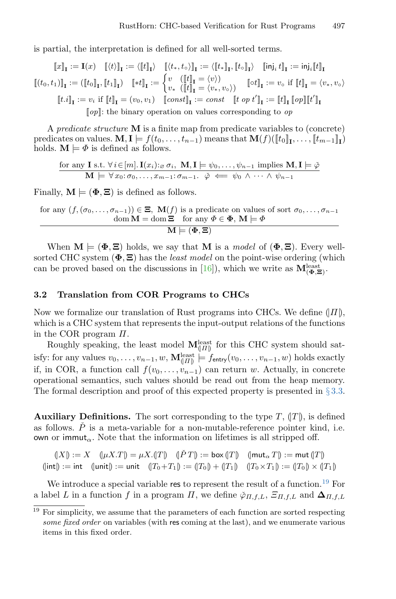is partial, the interpretation is defined for all well-sorted terms.

$$
\llbracket x \rrbracket_{\mathbf{I}} := \mathbf{I}(x) \quad \llbracket \langle t \rangle \rrbracket_{\mathbf{I}} := \langle \llbracket t \rrbracket_{\mathbf{I}} \rangle \quad \llbracket \langle t_*, t_\diamond \rangle \rrbracket_{\mathbf{I}} := \langle \llbracket t \rrbracket_{\mathbf{I}}, \llbracket t_0 \rrbracket_{\mathbf{I}} \rangle \quad \llbracket \mathsf{inj}_t \, t \rrbracket_{\mathbf{I}} := \mathsf{inj}_i \llbracket t \rrbracket_{\mathbf{I}} \llbracket t_0, t_1 \rrbracket_{\mathbf{I}} := (\llbracket t_0 \rrbracket_{\mathbf{I}}, \llbracket t_1 \rrbracket_{\mathbf{I}}) \quad \llbracket * t \rrbracket_{\mathbf{I}} := \begin{cases} v & (\llbracket t \rrbracket_{\mathbf{I}} = \langle v \rangle) \\ v_* & (\llbracket t \rrbracket_{\mathbf{I}} = \langle v \rangle) \end{cases} \quad \llbracket \mathsf{tot} \rrbracket_{\mathbf{I}} := v_\diamond \text{ if } \llbracket t \rrbracket_{\mathbf{I}} = \langle v_*, v_\diamond \rangle \llbracket t \mathsf{at} \rrbracket_{\mathbf{I}} := v_i \text{ if } \llbracket t \rrbracket_{\mathbf{I}} = (v_0, v_1) \quad \llbracket \mathsf{const} \rrbracket_{\mathbf{I}} := \mathsf{const} \quad \llbracket t \text{ op } t' \rrbracket_{\mathbf{I}} := \llbracket t \rrbracket_{\mathbf{I}} \llbracket \mathsf{op} \rrbracket \llbracket t' \rrbracket_{\mathbf{I}} \end{cases}
$$
\n
$$
\llbracket \mathsf{op} \rrbracket : = v_i \text{ if } \llbracket t \rrbracket_{\mathbf{I}} = (v_0, v_1) \quad \llbracket \mathsf{const} \rrbracket_{\mathbf{I}} := \mathsf{const} \quad \llbracket t \text{ op } t' \rrbracket_{\mathbf{I}} := \llbracket t \rrbracket_{\mathbf{I}} \llbracket \mathsf{op} \rrbracket \llbracket t' \rrbracket_{\mathbf{I}}
$$

A predicate structure M is a finite map from predicate variables to (concrete) predicates on values.  $\mathbf{M}, \mathbf{I} \models f(t_0, \ldots, t_{n-1})$  means that  $\mathbf{M}(f)(\llbracket t_0 \rrbracket_1, \ldots, \llbracket t_{m-1} \rrbracket_1)$ holds.  $\mathbf{M} \models \varPhi$  is defined as follows.

for any **I** s.t. 
$$
\forall i \in [m]
$$
.  $\mathbf{I}(x_i):_{\varnothing} \sigma_i$ , **M**, **I**  $\models \psi_0, \dots, \psi_{n-1}$  implies **M**, **I**  $\models \check{\varphi}$   
**M**  $\models \forall x_0: \sigma_0, \dots, x_{m-1}: \sigma_{m-1}.$   $\check{\varphi} \iff \psi_0 \land \dots \land \psi_{n-1}$ 

Finally,  $\mathbf{M} \models (\Phi, \Xi)$  is defined as follows.

for any 
$$
(f, (\sigma_0, ..., \sigma_{n-1})) \in \Xi
$$
,  $M(f)$  is a predicate on values of sort  $\sigma_0, ..., \sigma_{n-1}$   
\n
$$
\underline{\text{dom } M = \text{dom } \Xi \text{ for any } \Phi \in \Phi, M \models \Phi}
$$
\n
$$
M \models (\Phi, \Xi)
$$

When  $\mathbf{M} \models (\Phi, \Xi)$  holds, we say that M is a *model* of  $(\Phi, \Xi)$ . Every wellsorted CHC system  $(\Phi, \Xi)$  has the *least model* on the point-wise ordering (which can be proved based on the discussions in [\[16\]](#page-26-6)), which we write as  $\mathbf{M}^{\text{least}}_{(\Phi,\Xi)}$ .

#### <span id="page-13-0"></span>3.2 Translation from COR Programs to CHCs

Now we formalize our translation of Rust programs into CHCs. We define  $(|\Pi|)$ , which is a CHC system that represents the input-output relations of the functions in the COR program Π.

Roughly speaking, the least model  $\mathbf{M}^{\text{least}}_{(II)}$  for this CHC system should satisfy: for any values  $v_0, \ldots, v_{n-1}, w$ ,  $\mathbf{M}^{\text{least}}_{(II)} \models f_{\text{entry}}(v_0, \ldots, v_{n-1}, w)$  holds exactly if, in COR, a function call  $f(v_0, \ldots, v_{n-1})$  can return w. Actually, in concrete operational semantics, such values should be read out from the heap memory. The formal description and proof of this expected property is presented in  $\S 3.3$ .

**Auxiliary Definitions.** The sort corresponding to the type  $T$ ,  $(T)$ , is defined as follows.  $\check{P}$  is a meta-variable for a non-mutable-reference pointer kind, i.e. own or immut<sub> $\alpha$ </sub>. Note that the information on lifetimes is all stripped off.

$$
(|X|) := X \quad (\mu X.T) = \mu X.(T) \quad (\check{P}T) := \text{box} (|T|) \quad (\mid \text{mut}_{\alpha} T|) := \text{mut} (|T|)
$$
  

$$
(\mid \text{int}) := \text{int} \quad (\text{unit}) := \text{unit} \quad (|T_0 + T_1|) := (|T_0|) + (|T_1|) \quad (|T_0 \times T_1|) := (|T_0|) \times (|T_1|)
$$

We introduce a special variable res to represent the result of a function.<sup>[19](#page-13-1)</sup> For a label L in a function f in a program  $\Pi$ , we define  $\phi_{\Pi,f,L}$ ,  $\Xi_{\Pi,f,L}$  and  $\Delta_{\Pi,f,L}$ 

<span id="page-13-1"></span> $19$  For simplicity, we assume that the parameters of each function are sorted respecting some fixed order on variables (with res coming at the last), and we enumerate various items in this fixed order.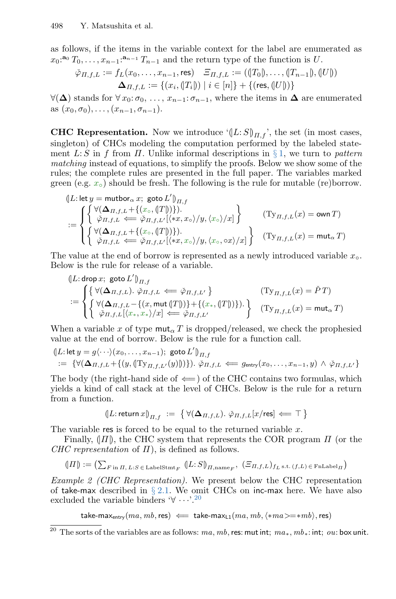as follows, if the items in the variable context for the label are enumerated as  $x_0$ :<sup>a</sup>  $T_0, \ldots, x_{n-1}$ :<sup>a<sub>n-1</sub></sup>  $T_{n-1}$  and the return type of the function is U.

$$
\check{\varphi}_{\Pi,f,L} := f_L(x_0, \dots, x_{n-1}, \text{res}) \quad \Xi_{\Pi,f,L} := ((T_0), \dots, (T_{n-1}), (U))
$$

$$
\Delta_{\Pi,f,L} := \{ (x_i, (T_i)) \mid i \in [n] \} + \{ (\text{res}, (U)) \}
$$

 $\forall (\Delta)$  stands for  $\forall x_0:\sigma_0, \ldots, x_{n-1}:\sigma_{n-1}$ , where the items in  $\Delta$  are enumerated as  $(x_0, \sigma_0), \ldots, (x_{n-1}, \sigma_{n-1}).$ 

**CHC Representation.** Now we introduce  $(|L: S|)_{H,f}$ , the set (in most cases, singleton) of CHCs modeling the computation performed by the labeled statement L: S in f from  $\Pi$ . Unlike informal descriptions in § [1,](#page-0-1) we turn to pattern matching instead of equations, to simplify the proofs. Below we show some of the rules; the complete rules are presented in the full paper. The variables marked green (e.g.  $x<sub>o</sub>$ ) should be fresh. The following is the rule for mutable (re)borrow.

$$
\begin{array}{l} \text{(}L:\mathsf{let}\,y=\mathsf{mutbor}_\alpha\,x;\;\mathsf{goto}\,L')_{\varPi,f} \\\\ :=\left\{\left\{\begin{aligned} &\forall (\Delta_{\varPi,f,L}+\{(x_\circ,\{\varGamma\})\}).\\ &\check{\varphi}_{\varPi,f,L}\Longleftarrow \check{\varphi}_{\varPi,f,L'}[\langle*x,x_\circ\rangle/y,\langle x_\circ\rangle/x]\end{aligned}\right\}\right\} \qquad \text{(}\mathbf{Ty}_{\varPi,f,L}(x)=\mathsf{own}\,T) \\\ &\left\{\begin{aligned} &\forall (\Delta_{\varPi,f,L}+\{(x_\circ,\{\varGamma\})\}).\\ &\check{\varphi}_{\varPi,f,L}\Longleftarrow \check{\varphi}_{\varPi,f,L'}[\langle*x,x_\circ\rangle/y,\langle x_\circ,\circ x\rangle/x]\end{aligned}\right\}\right\} \qquad \text{(}\mathbf{Ty}_{\varPi,f,L}(x)=\mathsf{mut}_\alpha\,T) \end{array}
$$

The value at the end of borrow is represented as a newly introduced variable  $x_0$ . Below is the rule for release of a variable.

$$
\begin{array}{ll} \text{(}L: \text{drop }x; \text{ goto }L'\text{)}_{\Pi,f} \\ := \begin{cases} \big\{ \, \forall (\Delta_{\Pi,f,L}) \cdot \check{\varphi}_{\Pi,f,L} \Longleftarrow \check{\varphi}_{\Pi,f,L'} \, \big\} & \quad (\text{Ty}_{\Pi,f,L}(x) = \check{P}\,T) \\ \big\{ \, \forall (\Delta_{\Pi,f,L}-\{(x,\text{mut}\left(\!\!\! \left.\text{f}\right \text{r}\right \text{)}\text{)}\} + \{(x_*,\left(\!\!\! \left.\text{f}\right \text{r}\right \text{)}\text{)}\}) . \\ \check{\varphi}_{\Pi,f,L}[(x_*,x_*)/x] \Longleftarrow \check{\varphi}_{\Pi,f,L'} \end{cases} & \quad (\text{Ty}_{\Pi,f,L}(x) = \text{mut}_{\alpha}\,T) \end{array}
$$

When a variable x of type  $\text{mut}_{\alpha} T$  is dropped/released, we check the prophesied value at the end of borrow. Below is the rule for a function call.

$$
\begin{aligned} &\langle |L\text{: let } y = g \langle \cdot \cdot \cdot \rangle (x_0, \dots, x_{n-1}); \text{ goto } L' \rangle_{\Pi, f} \\ &:= \{ \forall (\Delta_{\Pi, f, L} + \{ (y, \langle \text{Ty}_{\Pi, f, L'}(y) \rangle) \}) \text{. } \check{\varphi}_{\Pi, f, L} \Longleftarrow g_{\text{entry}}(x_0, \dots, x_{n-1}, y) \ \wedge \ \check{\varphi}_{\Pi, f, L'} \} \end{aligned}
$$

The body (the right-hand side of  $\Leftarrow$ ) of the CHC contains two formulas, which yields a kind of call stack at the level of CHCs. Below is the rule for a return from a function.

$$
(\!\!\! \|L\!:\operatorname{return} x)\!\!\! \rangle_{\varPi,f} \ := \ \big\{\, \forall (\mathbf{\Delta}_{\varPi,f,L}). \ \check{\varphi}_{\varPi,f,L}[x/\text{res}] \Longleftarrow \top \,\big\}
$$

The variable res is forced to be equal to the returned variable  $x$ .

Finally,  $(|\Pi|)$ , the CHC system that represents the COR program  $\Pi$  (or the CHC representation of  $\Pi$ ), is defined as follows.

$$
(\Vert \Pi \Vert) := \left( \sum_{F \text{ in } \Pi, L: S \in \text{LabelStmt}_F} (\Vert L: S \Vert_{\Pi, \text{name}_F, \left( \Xi_{\Pi, f, L} \right)_{f_L \text{ s.t. } (f, L) \in \text{FnLabel}_\Pi} \right)
$$

Example 2 (CHC Representation). We present below the CHC representation of take-max described in  $\S 2.1$ . We omit CHCs on inc-max here. We have also excluded the variable binders  $\forall \cdots$ <sup>[20](#page-14-0)</sup>

take-max<sub>entry</sub> $(ma, mb, res) \iff$  take-max<sub>L1</sub> $(ma, mb, \langle *ma \rangle = *mb)$ , res)

<span id="page-14-0"></span><sup>&</sup>lt;sup>20</sup> The sorts of the variables are as follows:  $ma, mb$ , res: mut int;  $ma_*, mb_*$ : int;  $ou:$  box unit.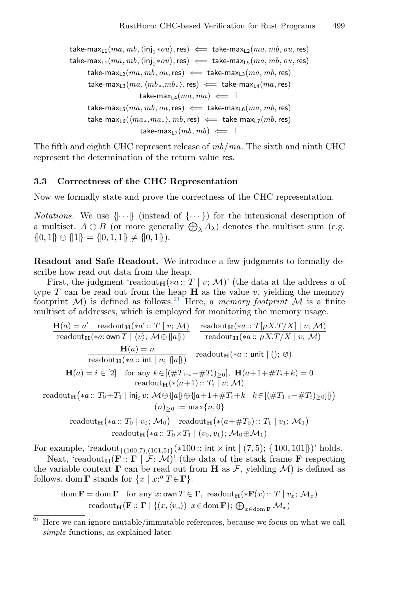take-max<sub>L1</sub> $(ma, mb, \langle inj_1*ou \rangle, res) \iff$  take-max<sub>L2</sub> $(ma, mb, ou, res)$ take-max<sub>L1</sub>(ma, mb,  $\langle \text{inj}_0 * \text{ou} \rangle$ , res)  $\Leftarrow$  take-max<sub>L5</sub>(ma, mb, ou, res) take-max<sub>L2</sub>(ma, mb, ou, res)  $\Leftarrow$  take-max<sub>L3</sub>(ma, mb, res) take-max<sub>L3</sub> $(ma, \langle mb_*, mb_*\rangle, \text{res}) \iff$  take-max<sub>L4</sub> $(ma, \text{res})$ take-max<sub>L4</sub> $(ma, ma) \Leftarrow$  T take-max<sub>L5</sub>(ma, mb, ou, res)  $\Leftarrow$  take-max<sub>L6</sub>(ma, mb, res) take-max<sub>L6</sub>( $\langle ma_*,ma_*\rangle$ , mb, res)  $\Leftarrow$  take-max<sub>L7</sub>(mb, res) take-max<sub>L7</sub> $(mb, mb) \Leftarrow$  T

The fifth and eighth CHC represent release of mb/ma. The sixth and ninth CHC represent the determination of the return value res.

#### <span id="page-15-0"></span>3.3 Correctness of the CHC Representation

Now we formally state and prove the correctness of the CHC representation.

*Notations.* We use  $\{\cdots\}$  (instead of  $\{\cdots\}$ ) for the intensional description of a multiset.  $A \oplus B$  (or more generally  $\bigoplus_{\lambda} A_{\lambda}$ ) denotes the multiset sum (e.g.  $\{[0, 1]\} \oplus \{[1]\} = \{[0, 1, 1]\} \neq \{[0, 1]\}.$ 

Readout and Safe Readout. We introduce a few judgments to formally describe how read out data from the heap.

First, the judgment 'readout<sub>H</sub>(\*a:: T | v; M)' (the data at the address a of type  $T$  can be read out from the heap  $H$  as the value v, yielding the memory footprint  $\mathcal{M}$ ) is defined as follows.<sup>[21](#page-15-1)</sup> Here, a *memory footprint*  $\mathcal M$  is a finite multiset of addresses, which is employed for monitoring the memory usage.

$$
\mathbf{H}(a) = a' \quad \text{readout}_{\mathbf{H}}(*a::T \mid v; \mathcal{M})
$$
\n
$$
\frac{\mathbf{H}(a) = a'}{\text{readout}_{\mathbf{H}}(*a::\text{own }T \mid \langle v \rangle; \mathcal{M} \oplus \{a\} \})
$$
\n
$$
\frac{\mathbf{H}(a) = n}{\text{readout}_{\mathbf{H}}(*a::\text{int} \mid n; \{a\} \})
$$
\n
$$
\frac{\mathbf{H}(a) = n}{\text{readout}_{\mathbf{H}}(*a::\text{int} \mid n; \{a\} \})
$$
\n
$$
\mathbf{H}(a) = i \in [2] \quad \text{for any } k \in [(\#T_{1-i} - \#T_i)_{\geq 0}], \ \mathbf{H}(a+1+\#T_i+k) = 0
$$
\n
$$
\frac{\text{readout}_{\mathbf{H}}(*a::T_0+T_1 \mid \mathbf{inj}_i, v; \mathcal{M} \oplus \{a\} \oplus \{a+1+\#T_i+k \mid k \in [(\#T_{1-i} - \#T_i)_{\geq 0}]\})}{(n)_{\geq 0} := \max\{n, 0\}}
$$
\n
$$
\frac{\text{readout}_{\mathbf{H}}(*a::T_0 \mid v_0; \mathcal{M}_0) \quad \text{readout}_{\mathbf{H}}(*a+\#T_0)::T_1 \mid v_1; \mathcal{M}_1)}{\text{readout}_{\mathbf{H}}(*a::T_0 \times T_1 \mid (v_0, v_1); \mathcal{M}_0 \oplus \mathcal{M}_1)}
$$

For example, 'readout<sub>{(100,7),(101,5)}</sub>(\*100:: int × int  $|(7,5)$ ; {|100, 101}})' holds.

Next, 'readout<sub>H</sub>(**F**::  $\Gamma$  | F; M)' (the data of the stack frame **F** respecting the variable context  $\Gamma$  can be read out from H as F, yielding M) is defined as follows. dom  $\Gamma$  stands for  $\{x \mid x: \mathbf{a} \in \Gamma\}$ .

$$
\frac{\mathrm{dom}\,\mathbf{F}=\mathrm{dom}\,\mathbf{\Gamma}\quad\hbox{for any $x:\hbox{own}\,T\in\mathbf{\Gamma}$, readout}_{\mathbf{H}}(*\mathbf{F}(x)::T\mid v_x;\,\mathcal{M}_x)\quad \ \ \, \text{readout}_{\mathbf{H}}(\mathbf{F}::\mathbf{\Gamma}\mid\{(x,\langle v_x\rangle)\,|\,x\!\in\!\hbox{dom}\,\mathbf{F}\};\,\bigoplus_{x\in\hbox{dom}\,\mathbf{F}}\mathcal{M}_x)}
$$

<span id="page-15-1"></span> $\frac{21}{21}$  Here we can ignore mutable/immutable references, because we focus on what we call simple functions, as explained later.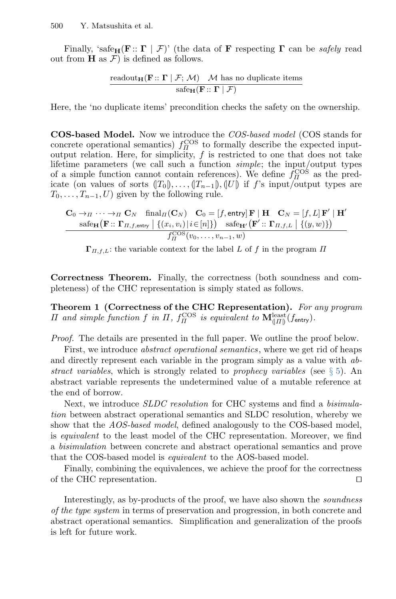Finally, 'safe<sub>H</sub>(**F**::  $\Gamma \mid \mathcal{F}$ )' (the data of **F** respecting  $\Gamma$  can be *safely* read out from  $H$  as  $\mathcal{F}$ ) is defined as follows.

$$
\frac{\operatorname{readout}_{\mathbf{H}}(\mathbf{F}::\boldsymbol{\Gamma}\mid\mathcal{F};\,\mathcal{M})\quad \mathcal{M} \text{ has no duplicate items}}{\operatorname{safe}_{\mathbf{H}}(\mathbf{F}::\boldsymbol{\Gamma}\mid\mathcal{F})}
$$

Here, the 'no duplicate items' precondition checks the safety on the ownership.

COS-based Model. Now we introduce the COS-based model (COS stands for concrete operational semantics)  $f_{\Pi}^{\text{COS}}$  to formally describe the expected inputoutput relation. Here, for simplicity,  $f$  is restricted to one that does not take lifetime parameters (we call such a function simple; the input/output types of a simple function cannot contain references). We define  $f_{\Pi}^{\text{COS}}$  as the predicate (on values of sorts  $(T_0|), \ldots, (T_{n-1}|), (U|)$  if f's input/output types are  $T_0, \ldots, T_{n-1}, U$  given by the following rule.

$$
\mathbf{C}_0 \to \pi \cdots \to \pi \mathbf{C}_N \quad \text{final}_{\Pi}(\mathbf{C}_N) \quad \mathbf{C}_0 = [f, \text{entry}] \mathbf{F} | \mathbf{H} \quad \mathbf{C}_N = [f, L] \mathbf{F}' | \mathbf{H}'
$$
\n
$$
\frac{\text{safe}_{\mathbf{H}}(\mathbf{F} :: \mathbf{\Gamma}_{\Pi, f, \text{entry}} \mid \{(x_i, v_i) \mid i \in [n]\})}{\text{safe}_{\mathbf{H}'}(\mathbf{D}^{C})} \quad \text{safe}_{\mathbf{H}'}(\mathbf{F}':: \mathbf{\Gamma}_{\Pi, f, L} \mid \{(y, w)\})}
$$

 $\Gamma_{\Pi,f,L}$ : the variable context for the label L of f in the program  $\Pi$ 

Correctness Theorem. Finally, the correctness (both soundness and completeness) of the CHC representation is simply stated as follows.

Theorem 1 (Correctness of the CHC Representation). For any program H and simple function f in  $\Pi$ ,  $f_{\Pi}^{\text{COS}}$  is equivalent to  $\mathbf{M}^{\text{least}}_{(H)}(f_{\text{entry}})$ .

Proof. The details are presented in the full paper. We outline the proof below.

First, we introduce *abstract operational semantics*, where we get rid of heaps and directly represent each variable in the program simply as a value with abstract variables, which is strongly related to prophecy variables (see  $\S 5$ ). An abstract variable represents the undetermined value of a mutable reference at the end of borrow.

Next, we introduce SLDC resolution for CHC systems and find a bisimulation between abstract operational semantics and SLDC resolution, whereby we show that the AOS-based model, defined analogously to the COS-based model, is equivalent to the least model of the CHC representation. Moreover, we find a bisimulation between concrete and abstract operational semantics and prove that the COS-based model is equivalent to the AOS-based model.

Finally, combining the equivalences, we achieve the proof for the correctness of the CHC representation.  $\Box$ 

Interestingly, as by-products of the proof, we have also shown the soundness of the type system in terms of preservation and progression, in both concrete and abstract operational semantics. Simplification and generalization of the proofs is left for future work.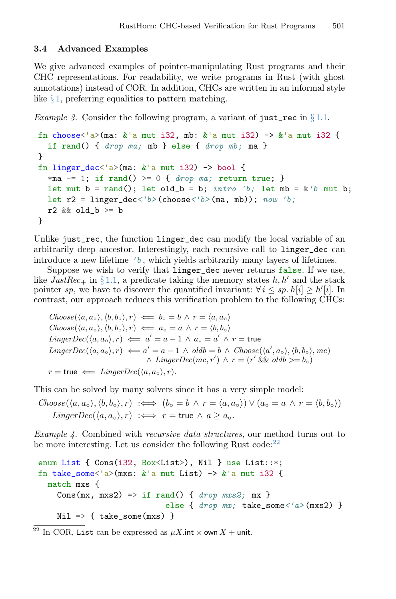# <span id="page-17-0"></span>3.4 Advanced Examples

We give advanced examples of pointer-manipulating Rust programs and their CHC representations. For readability, we write programs in Rust (with ghost annotations) instead of COR. In addition, CHCs are written in an informal style like  $\S 1$ , preferring equalities to pattern matching.

<span id="page-17-2"></span>*Example 3.* Consider the following program, a variant of just\_rec in  $\S 1.1$ .

```
fn choose<'a>(ma: k'a mut i32, mb: k'a mut i32) -> k'a mut i32 {
  if rand() { drop ma; mb } else { drop mb; ma }
}
fn linger_dec<'a>(ma: k'a mut i32) -> bool {
  *ma - 1; if rand() > = 0 { drop ma; return true; }
  let mut b = rand(); let old b = b; intro 'b; let mb = &'b mut b;
  let r2 = linger dec</math>'b>(choose'<math>b</math>) (m<sub>a</sub>, mb)): <i>now 'b</i>:r2 && old_b >= b
}
```
Unlike just\_rec, the function linger\_dec can modify the local variable of an arbitrarily deep ancestor. Interestingly, each recursive call to linger\_dec can introduce a new lifetime  $b$ , which yields arbitrarily many layers of lifetimes.

Suppose we wish to verify that linger\_dec never returns false. If we use, like  $JustRec_{+}$  in § [1.1,](#page-1-1) a predicate taking the memory states h, h' and the stack pointer sp, we have to discover the quantified invariant:  $\forall i \leq sp. h[i] \geq h'[i]$ . In contrast, our approach reduces this verification problem to the following CHCs:

 $Choose(\langle a, a_{\circ}\rangle, \langle b, b_{\circ}\rangle, r) \iff b_{\circ} = b \land r = \langle a, a_{\circ}\rangle$  $Choose(\langle a, a_{\circ}\rangle, \langle b, b_{\circ}\rangle, r) \iff a_{\circ} = a \land r = \langle b, b_{\circ}\rangle$  $\mathit{LingerDec}(\langle a, a_\circ \rangle, r) \impliedby a' = a - 1 \, \land \, a_\circ = a' \, \land \, r = \mathsf{true}$  $LingerDec(\langle a, a_{\circ} \rangle, r) \iff a' = a - 1 \land old = b \land Choose(\langle a', a_{\circ} \rangle, \langle b, b_{\circ} \rangle, mc)$  $\wedge$  Linger $Dec(mc, r') \wedge r = (r' \& \& oldb \geq b \circ )$  $r = \text{true} \iff \text{LingerDec}(\langle a, a_{\circ} \rangle, r).$ 

This can be solved by many solvers since it has a very simple model:

 $Choose(\langle a, a_{\circ}\rangle, \langle b, b_{\circ}\rangle, r) \implies (b_{\circ} = b \land r = \langle a, a_{\circ}\rangle) \lor (a_{\circ} = a \land r = \langle b, b_{\circ}\rangle)$  $LingerDec(\langle a, a_{\circ} \rangle, r) \iff r = \text{true} \land a \geq a_{\circ}.$ 

Example 4. Combined with *recursive data structures*, our method turns out to be more interesting. Let us consider the following Rust code: $^{22}$  $^{22}$  $^{22}$ 

```
enum List { Cons(i32, Box<List>), Nil } use List::*;
fn take_some<'a>(mxs: k'a mut List) -> k'a mut i32 {
 match mxs {
    Cons(mx, mxs2) => if rand() { drop mxs2; mx }
                            else { drop mx; take_some<'a> (mxs2) }
    Nil \Rightarrow \{ take\_some(mxs) \}
```

```
<sup>22</sup> In COR, List can be expressed as \mu X.int \times own X + unit.
```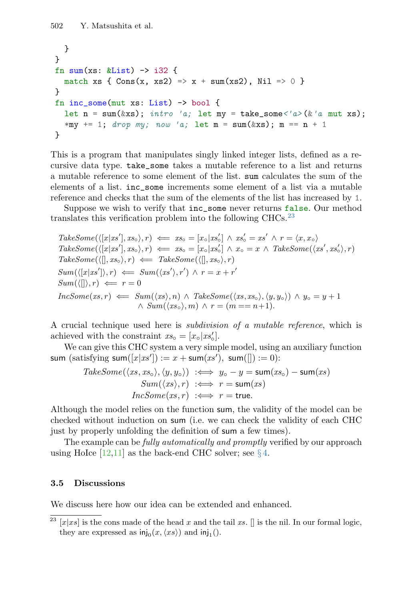```
}
}
fn sum(xs: \&List) \rightarrow i32 {
  match xs { Cons(x, xs2) \Rightarrow x + sum(xs2), Nil \Rightarrow 0 }
}
fn inc_some(mut xs: List) -> bool {
  let n = sum(kxs); intro 'a; let my = take\_some < 'a>(k'a) mut xs);
  *my += 1; drop my; now 'a; let m = sum(kxs); m == n + 1\mathbf{r}
```
This is a program that manipulates singly linked integer lists, defined as a recursive data type. take\_some takes a mutable reference to a list and returns a mutable reference to some element of the list. sum calculates the sum of the elements of a list. inc\_some increments some element of a list via a mutable reference and checks that the sum of the elements of the list has increased by 1.

Suppose we wish to verify that inc\_some never returns false. Our method translates this verification problem into the following CHCs. $^{23}$  $^{23}$  $^{23}$ 

TakeSome(
$$
\langle [x|xs']
$$
,  $xs_0 \rangle$ ,  $r \rangle \leftarrow xs_0 = [x_0|xs'_0] \wedge xs'_0 = xs' \wedge r = \langle x, x_0 \rangle$   
\nTakeSome( $\langle [x|xs']$ ,  $xs_0 \rangle$ ,  $r \rangle \leftarrow xs_0 = [x_0|xs'_0] \wedge x_0 = x \wedge TakeSome(\langle xs', xs'_0 \rangle, r)$   
\nTakeSome( $\langle [l], xs_0 \rangle$ ,  $r \rangle \leftarrow TakeSome(\langle [l], xs_0 \rangle, r)$   
\nSum( $\langle [x|xs'] \rangle$ ,  $r \rangle \leftarrow Sum(\langle xs' \rangle, r') \wedge r = x + r'$   
\nSum( $\langle [l] \rangle$ ,  $r \rangle \leftarrow r = 0$   
\nIncSome( $xs$ ,  $r \rangle \leftarrow Sum(\langle xs, n) \wedge TakeSome(\langle xs, xs_0 \rangle, \langle y, y_0 \rangle) \wedge y_0 = y + 1$   
\n $\wedge Sum(\langle xs_0 \rangle, m) \wedge r = (m == n + 1)$ .

A crucial technique used here is subdivision of a mutable reference, which is achieved with the constraint  $xs_{\circ} = [x_{\circ} | xs'_{\circ}].$ 

We can give this CHC system a very simple model, using an auxiliary function sum (satisfying sum $([x|x s']) := x + \text{sum}(x s'), \text{ sum}([\ ]):= 0)$ :

TakeSome(
$$
\langle xs, xs_{\circ} \rangle, \langle y, y_{\circ} \rangle
$$
)  $\iff$   $y_{\circ} - y = \text{sum}(xs_{\circ}) - \text{sum}(xs)$   
\n $Sum(\langle xs \rangle, r) \iff$   $r = \text{sum}(xs)$   
\n $IncSome(xs, r) \iff$   $r = \text{true}.$ 

Although the model relies on the function sum, the validity of the model can be checked without induction on sum (i.e. we can check the validity of each CHC just by properly unfolding the definition of sum a few times).

The example can be *fully automatically and promptly* verified by our approach using HoIce [\[12,](#page-26-2)[11\]](#page-25-6) as the back-end CHC solver; see  $\S 4$ .

## <span id="page-18-0"></span>3.5 Discussions

We discuss here how our idea can be extended and enhanced.

<span id="page-18-1"></span><sup>&</sup>lt;sup>23</sup> [x|xs] is the cons made of the head x and the tail xs. [] is the nil. In our formal logic, they are expressed as  $\text{inj}_0(x, \langle xs \rangle)$  and  $\text{inj}_1()$ .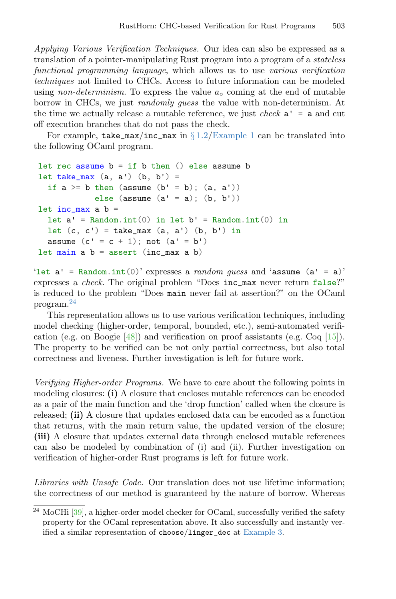Applying Various Verification Techniques. Our idea can also be expressed as a translation of a pointer-manipulating Rust program into a program of a stateless functional programming language, which allows us to use various verification techniques not limited to CHCs. Access to future information can be modeled using non-determinism. To express the value  $a_{\rm o}$  coming at the end of mutable borrow in CHCs, we just randomly guess the value with non-determinism. At the time we actually release a mutable reference, we just *check*  $a' = a$  and cut off execution branches that do not pass the check.

For example, take\_max/inc\_max in  $\S 1.2$ /[Example 1](#page-7-0) can be translated into the following OCaml program.

```
let rec assume b = if b then () else assume blet take_max (a, a') (b, b') =if a \ge b then (assume (b' = b); (a, a'))
            else (assume (a' = a); (b, b'))
let inc_max a b =let a' = Random.int(0) in let b' = Random.int(0) in
  let (c, c') = take_max (a, a') (b, b') in
  assume (c' = c + 1); not (a' = b')let main a b = assert (inc_max a b)
```
'let  $a'$  = Random.int(0)' expresses a *random guess* and 'assume  $(a' = a)$ ' expresses a check. The original problem "Does inc\_max never return false?" is reduced to the problem "Does main never fail at assertion?" on the OCaml program.[24](#page-19-0)

This representation allows us to use various verification techniques, including model checking (higher-order, temporal, bounded, etc.), semi-automated verification (e.g. on Boogie  $[48]$ ) and verification on proof assistants (e.g. Coq  $[15]$ ). The property to be verified can be not only partial correctness, but also total correctness and liveness. Further investigation is left for future work.

Verifying Higher-order Programs. We have to care about the following points in modeling closures: (i) A closure that encloses mutable references can be encoded as a pair of the main function and the 'drop function' called when the closure is released; (ii) A closure that updates enclosed data can be encoded as a function that returns, with the main return value, the updated version of the closure; (iii) A closure that updates external data through enclosed mutable references can also be modeled by combination of (i) and (ii). Further investigation on verification of higher-order Rust programs is left for future work.

Libraries with Unsafe Code. Our translation does not use lifetime information; the correctness of our method is guaranteed by the nature of borrow. Whereas

<span id="page-19-0"></span> $\frac{24 \text{ MoCHi} [39]}{324 \text{ MoCHi} [39]}$  $\frac{24 \text{ MoCHi} [39]}{324 \text{ MoCHi} [39]}$  $\frac{24 \text{ MoCHi} [39]}{324 \text{ MoCHi} [39]}$ , a higher-order model checker for OCaml, successfully verified the safety property for the OCaml representation above. It also successfully and instantly verified a similar representation of choose/linger\_dec at [Example 3.](#page-17-2)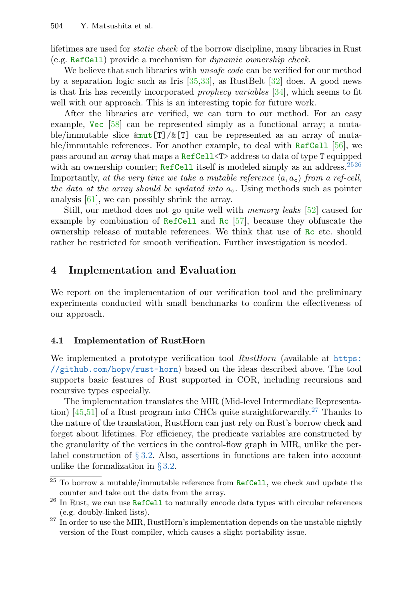lifetimes are used for static check of the borrow discipline, many libraries in Rust (e.g. RefCell) provide a mechanism for dynamic ownership check.

We believe that such libraries with *unsafe code* can be verified for our method by a separation logic such as Iris  $[35,33]$  $[35,33]$ , as RustBelt  $[32]$  does. A good news is that Iris has recently incorporated prophecy variables [\[34\]](#page-27-11), which seems to fit well with our approach. This is an interesting topic for future work.

After the libraries are verified, we can turn to our method. For an easy example, Vec [\[58\]](#page-29-8) can be represented simply as a functional array; a mutable/immutable slice  $\text{kmut}[T]/\text{\&}[T]$  can be represented as an array of mutable/immutable references. For another example, to deal with RefCell [\[56\]](#page-29-9), we pass around an array that maps a RefCell<T> address to data of type T equipped with an ownership counter; RefCell itself is modeled simply as an address.<sup>[25](#page-20-1)[26](#page-20-2)</sup> Importantly, at the very time we take a mutable reference  $\langle a, a_{\alpha} \rangle$  from a ref-cell, the data at the array should be updated into  $a_0$ . Using methods such as pointer analysis [\[61\]](#page-29-2), we can possibly shrink the array.

Still, our method does not go quite well with memory leaks [\[52\]](#page-29-10) caused for example by combination of RefCell and Rc [\[57\]](#page-29-11), because they obfuscate the ownership release of mutable references. We think that use of Rc etc. should rather be restricted for smooth verification. Further investigation is needed.

# <span id="page-20-0"></span>4 Implementation and Evaluation

We report on the implementation of our verification tool and the preliminary experiments conducted with small benchmarks to confirm the effectiveness of our approach.

#### 4.1 Implementation of RustHorn

We implemented a prototype verification tool  $RustHorn$  (available at [https:](https://github.com/hopv/rust-horn) [//github.com/hopv/rust-horn](https://github.com/hopv/rust-horn)) based on the ideas described above. The tool supports basic features of Rust supported in COR, including recursions and recursive types especially.

The implementation translates the MIR (Mid-level Intermediate Representation)  $[45,51]$  $[45,51]$  of a Rust program into CHCs quite straightforwardly.<sup>[27](#page-20-3)</sup> Thanks to the nature of the translation, RustHorn can just rely on Rust's borrow check and forget about lifetimes. For efficiency, the predicate variables are constructed by the granularity of the vertices in the control-flow graph in MIR, unlike the perlabel construction of  $\S 3.2$ . Also, assertions in functions are taken into account unlike the formalization in  $\S 3.2$ .

<span id="page-20-1"></span> $^{25}$  To borrow a mutable/immutable reference from  $\mathtt{RefCell},$  we check and update the counter and take out the data from the array.

<span id="page-20-2"></span><sup>&</sup>lt;sup>26</sup> In Rust, we can use RefCell to naturally encode data types with circular references (e.g. doubly-linked lists).

<span id="page-20-3"></span> $27$  In order to use the MIR, RustHorn's implementation depends on the unstable nightly version of the Rust compiler, which causes a slight portability issue.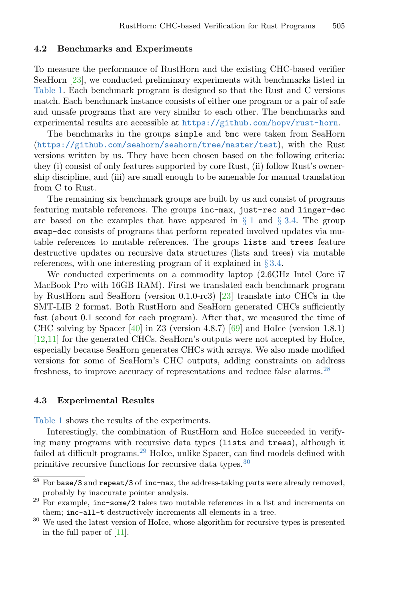#### <span id="page-21-3"></span>4.2 Benchmarks and Experiments

To measure the performance of RustHorn and the existing CHC-based verifier SeaHorn [\[23\]](#page-26-3), we conducted preliminary experiments with benchmarks listed in [Table 1.](#page-22-0) Each benchmark program is designed so that the Rust and C versions match. Each benchmark instance consists of either one program or a pair of safe and unsafe programs that are very similar to each other. The benchmarks and experimental results are accessible at <https://github.com/hopv/rust-horn>.

The benchmarks in the groups simple and bmc were taken from SeaHorn (<https://github.com/seahorn/seahorn/tree/master/test>), with the Rust versions written by us. They have been chosen based on the following criteria: they (i) consist of only features supported by core Rust, (ii) follow Rust's ownership discipline, and (iii) are small enough to be amenable for manual translation from C to Rust.

The remaining six benchmark groups are built by us and consist of programs featuring mutable references. The groups inc-max, just-rec and linger-dec are based on the examples that have appeared in  $\S 1$  $\S 1$  and  $\S 3.4$ . The group swap-dec consists of programs that perform repeated involved updates via mutable references to mutable references. The groups lists and trees feature destructive updates on recursive data structures (lists and trees) via mutable references, with one interesting program of it explained in  $\S 3.4$ .

We conducted experiments on a commodity laptop (2.6GHz Intel Core i7 MacBook Pro with 16GB RAM). First we translated each benchmark program by RustHorn and SeaHorn (version 0.1.0-rc3) [\[23\]](#page-26-3) translate into CHCs in the SMT-LIB 2 format. Both RustHorn and SeaHorn generated CHCs sufficiently fast (about 0.1 second for each program). After that, we measured the time of CHC solving by Spacer [\[40\]](#page-28-1) in Z3 (version 4.8.7) [\[69\]](#page-30-1) and HoIce (version 1.8.1) [\[12](#page-26-2)[,11\]](#page-25-6) for the generated CHCs. SeaHorn's outputs were not accepted by HoIce, especially because SeaHorn generates CHCs with arrays. We also made modified versions for some of SeaHorn's CHC outputs, adding constraints on address freshness, to improve accuracy of representations and reduce false alarms.[28](#page-21-0)

#### 4.3 Experimental Results

[Table 1](#page-22-0) shows the results of the experiments.

Interestingly, the combination of RustHorn and HoIce succeeded in verifying many programs with recursive data types (lists and trees), although it failed at difficult programs.<sup>[29](#page-21-1)</sup> HoIce, unlike Spacer, can find models defined with primitive recursive functions for recursive data types.[30](#page-21-2)

<span id="page-21-0"></span> $\frac{28 \text{ For base/3}}{28 \text{ for base/3}}$  and repeat/3 of inc-max, the address-taking parts were already removed, probably by inaccurate pointer analysis.

<span id="page-21-1"></span> $29$  For example,  $inc$ -some/2 takes two mutable references in a list and increments on them; inc-all-t destructively increments all elements in a tree.

<span id="page-21-2"></span> $30$  We used the latest version of HoIce, whose algorithm for recursive types is presented in the full paper of [\[11\]](#page-25-6).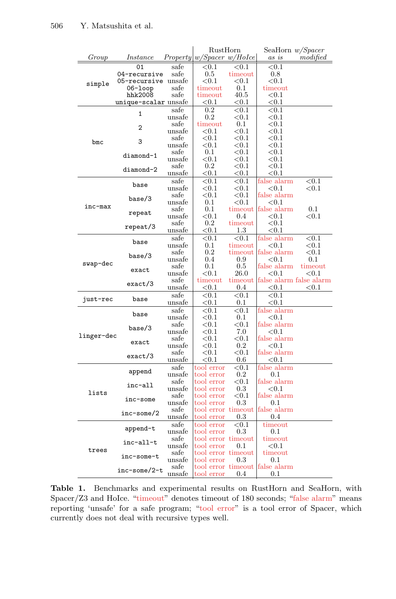<span id="page-22-0"></span>

|            |                      |                | RustHorn                               |                        | SeaHorn <i>w/Spacer</i>         |                    |  |
|------------|----------------------|----------------|----------------------------------------|------------------------|---------------------------------|--------------------|--|
| Group      | Instance             |                | $Property \vert w/Space w/Holce \vert$ |                        | as is                           | modified           |  |
|            | 01                   | safe           | ${<}0.1$                               | ${<}0.1$               | ${<}0.1$                        |                    |  |
|            | 04-recursive         | safe           | $0.5\,$                                | timeout                | 0.8                             |                    |  |
|            | 05-recursive unsafe  |                | ${<}0.1$                               | $< \hspace{-0.2em}0.1$ | ${<}0.1$                        |                    |  |
| simple     | 06-loop              | safe           | timeout                                | 0.1                    | timeout                         |                    |  |
|            | hhk2008              | safe           | timeout                                | 40.5                   | $<$ 0.1                         |                    |  |
|            | unique-scalar unsafe |                | $< \hspace{-0.2em}0.1$                 | ${<}0.1$               | ${<}0.1$                        |                    |  |
|            |                      | safe           | $0.2\,$                                | ${<}0.1$               | ${<}0.1$                        |                    |  |
|            | 1                    | unsafe         | 0.2                                    | ${<}0.1$               | $< \hspace{-0.2em}0.1$          |                    |  |
|            | 2                    | safe           | timeout                                | $0.1\,$                | $< \hspace{-0.2em}0.1$          |                    |  |
|            |                      | unsafe         | ${<}0.1$                               | < 0.1                  | ${<}0.1$                        |                    |  |
| bmc        | 3                    | safe           | $< \hspace{-0.2em}0.1$                 | ${<}0.1$               | $< \hspace{-0.2em}0.1$          |                    |  |
|            |                      | unsafe         | $^{<0.1}$                              | ${<}0.1$               | $^{<0.1}$                       |                    |  |
|            | diamond-1            | safe           | $0.1\,$                                | ${<}0.1$               | ${<}0.1$                        |                    |  |
|            |                      | unsafe         | ${<}0.1$                               | ${<}0.1$               | ${<}0.1$                        |                    |  |
|            | diamond-2            | safe           | 0.2                                    | $<$ 0.1                | ${<}0.1$                        |                    |  |
|            |                      | unsafe         | $^{<0.1}$                              | ${<}0.1$               | ${<}0.1$                        |                    |  |
|            | base                 | $_{\rm safe}$  | ${<}0.1$                               | ${<}0.1$               | false alarm                     | ${<}0.1$           |  |
|            |                      | unsafe         | ${<}0.1$                               | ${<}0.1$               | $<$ 0.1                         | ${<}0.1$           |  |
|            | base/3               | safe           | $< \hspace{-0.2em}0.1$                 | $<$ 0.1                | false alarm                     |                    |  |
| inc-max    |                      | unsafe         | 0.1                                    | ${<}0.1$               | $<$ 0.1                         |                    |  |
|            | repeat               | safe           | 0.1                                    |                        | timeout false alarm             | 0.1                |  |
|            |                      | unsafe         | $< \hspace{-0.2em}0.1$                 | 0.4                    | ${<}0.1$                        | < 0.1              |  |
|            | repeat/3             | safe           | $0.2\,$                                | timeout                | ${<}0.1$                        |                    |  |
|            |                      | unsafe         | $^{<0.1}$                              | 1.3                    | ${<}0.1$                        |                    |  |
|            | base                 | $_{\rm safe}$  | ${<}0.1$                               | < 0.1                  | false alarm                     | ${<}0.1$           |  |
|            |                      | unsafe         | 0.1                                    | timeout                | ${<}0.1$                        | ${<}0.1$           |  |
|            | base/3               | safe           | $0.2\,$<br>0.4                         | timeout                | false alarm                     | ${<}0.1$<br>0.1    |  |
| swap-dec   |                      | unsafe<br>safe | 0.1                                    | 0.9<br>0.5             | $<$ 0.1<br>false alarm          |                    |  |
|            | exact                | unsafe         | ${<}0.1$                               | $_{26.0}$              | $<$ 0.1                         | timeout<br>$<$ 0.1 |  |
|            |                      | $_{\rm safe}$  | timeout                                |                        | timeout false alarm false alarm |                    |  |
|            | exact/3              | unsafe         | $^{<0.1}$                              | 0.4                    | < 0.1                           | ${<}0.1$           |  |
|            |                      | safe           | ${<}0.1$                               | ${<}0.1$               | ${<}0.1$                        |                    |  |
| just-rec   | base                 | unsafe         | $^{<0.1}$                              | 0.1                    | ${<}0.1$                        |                    |  |
|            |                      | $_{\rm safe}$  | ${<}0.1$                               | < 0.1                  | false alarm                     |                    |  |
|            | base                 | unsafe         | $< \hspace{-0.2em}0.1$                 | 0.1                    | $<$ 0.1                         |                    |  |
|            |                      | $_{\rm safe}$  | ${<}0.1$                               | ${<}0.1$               | false alarm                     |                    |  |
|            | base/3               | unsafe         | ${<}0.1$                               | 7.0                    | < 0.1                           |                    |  |
| linger-dec |                      | $_{\rm safe}$  | ${<}0.1$                               | $< \hspace{-0.2em}0.1$ | false alarm                     |                    |  |
|            | exact                | unsafe         | ${<}0.1$                               | 0.2                    | $< \hspace{-0.2em}0.1$          |                    |  |
|            |                      | safe           | ${<}0.1$                               | ${<}0.1$               | false alarm                     |                    |  |
|            | exact/3              | unsafe         | $< \hspace{-0.2em}0.1$                 | $0.6\,$                | ${<}0.1$                        |                    |  |
|            |                      | safe           | tool error                             | ${<}0.1$               | false alarm                     |                    |  |
|            | append               | unsafe         | $\rm{tool~error}$                      | 0.2                    | 0.1                             |                    |  |
|            |                      | safe           | tool error                             | ${<}0.1$               | false alarm                     |                    |  |
|            | inc-all              | unsafe         | $\text{tool error}$                    | $0.3\,$                | ${<}0.1$                        |                    |  |
| lists      |                      | safe           | tool error                             | $< \hspace{-0.2em}0.1$ | false alarm                     |                    |  |
|            | inc-some             | unsafe         | $\,$ tool $\,$ error                   | 0.3                    | 0.1                             |                    |  |
|            | inc-some/2           | safe           |                                        |                        | tool error timeout false alarm  |                    |  |
|            |                      | unsafe         | tool error                             | 0.3                    | 0.4                             |                    |  |
|            |                      | safe           | tool error                             | $< \hspace{-0.2em}0.1$ | timeout                         |                    |  |
|            | append-t             | unsafe         | tool error                             | $0.3\,$                | 0.1                             |                    |  |
| trees      | inc-all-t            | safe           | tool error timeout                     |                        | timeout                         |                    |  |
|            |                      | unsafe         | tool error                             | 0.1                    | $< \hspace{-0.2em}0.1$          |                    |  |
|            | inc-some-t           | safe           | tool error timeout                     |                        | timeout                         |                    |  |
|            |                      | unsafe         | tool error                             | 0.3                    | 0.1                             |                    |  |
|            | inc-some/2-t         | safe           |                                        |                        | tool error timeout false alarm  |                    |  |
|            |                      | unsafe         | tool error                             | 0.4                    | 0.1                             |                    |  |

Table 1. Benchmarks and experimental results on RustHorn and SeaHorn, with Spacer/Z3 and HoIce. "timeout" denotes timeout of 180 seconds; "false alarm" means reporting 'unsafe' for a safe program; "tool error" is a tool error of Spacer, which currently does not deal with recursive types well.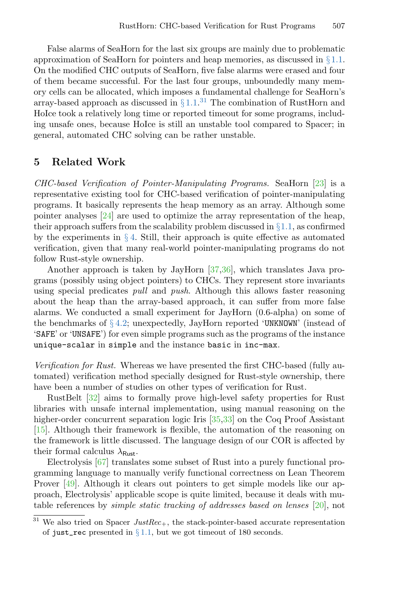False alarms of SeaHorn for the last six groups are mainly due to problematic approximation of SeaHorn for pointers and heap memories, as discussed in  $\S 1.1$ . On the modified CHC outputs of SeaHorn, five false alarms were erased and four of them became successful. For the last four groups, unboundedly many memory cells can be allocated, which imposes a fundamental challenge for SeaHorn's array-based approach as discussed in  $\S 1.1$ .<sup>[31](#page-23-1)</sup> The combination of RustHorn and HoIce took a relatively long time or reported timeout for some programs, including unsafe ones, because HoIce is still an unstable tool compared to Spacer; in general, automated CHC solving can be rather unstable.

# <span id="page-23-0"></span>5 Related Work

CHC-based Verification of Pointer-Manipulating Programs. SeaHorn [\[23\]](#page-26-3) is a representative existing tool for CHC-based verification of pointer-manipulating programs. It basically represents the heap memory as an array. Although some pointer analyses [\[24\]](#page-27-6) are used to optimize the array representation of the heap, their approach suffers from the scalability problem discussed in  $\S 1.1$ , as confirmed by the experiments in  $\S 4$ . Still, their approach is quite effective as automated verification, given that many real-world pointer-manipulating programs do not follow Rust-style ownership.

Another approach is taken by JayHorn [\[37,](#page-28-2)[36\]](#page-27-4), which translates Java programs (possibly using object pointers) to CHCs. They represent store invariants using special predicates pull and push. Although this allows faster reasoning about the heap than the array-based approach, it can suffer from more false alarms. We conducted a small experiment for JayHorn (0.6-alpha) on some of the benchmarks of  $\S 4.2$ ; unexpectedly, JayHorn reported 'UNKNOWN' (instead of 'SAFE' or 'UNSAFE') for even simple programs such as the programs of the instance unique-scalar in simple and the instance basic in inc-max.

Verification for Rust. Whereas we have presented the first CHC-based (fully automated) verification method specially designed for Rust-style ownership, there have been a number of studies on other types of verification for Rust.

RustBelt [\[32\]](#page-27-8) aims to formally prove high-level safety properties for Rust libraries with unsafe internal implementation, using manual reasoning on the higher-order concurrent separation logic Iris [\[35,](#page-27-9)[33\]](#page-27-10) on the Coq Proof Assistant [\[15\]](#page-26-7). Although their framework is flexible, the automation of the reasoning on the framework is little discussed. The language design of our COR is affected by their formal calculus  $\lambda_{\text{Rust}}$ .

Electrolysis [\[67\]](#page-30-2) translates some subset of Rust into a purely functional programming language to manually verify functional correctness on Lean Theorem Prover [\[49\]](#page-29-13). Although it clears out pointers to get simple models like our approach, Electrolysis' applicable scope is quite limited, because it deals with mutable references by simple static tracking of addresses based on lenses [\[20\]](#page-26-8), not

<span id="page-23-1"></span> $31$  We also tried on Spacer JustRec<sub>+</sub>, the stack-pointer-based accurate representation of just\_rec presented in  $\S 1.1$ , but we got timeout of 180 seconds.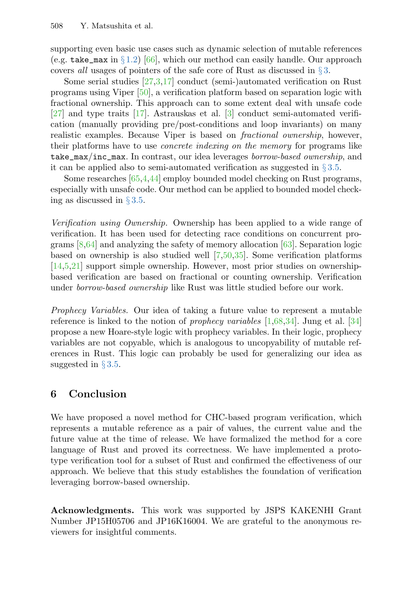supporting even basic use cases such as dynamic selection of mutable references (e.g. take\_max in §[1.2\)](#page-3-0) [\[66\]](#page-30-3), which our method can easily handle. Our approach covers all usages of pointers of the safe core of Rust as discussed in § [3.](#page-11-0)

Some serial studies [\[27](#page-27-12)[,3,](#page-25-7)[17\]](#page-26-9) conduct (semi-)automated verification on Rust programs using Viper [\[50\]](#page-29-14), a verification platform based on separation logic with fractional ownership. This approach can to some extent deal with unsafe code [\[27\]](#page-27-12) and type traits [\[17\]](#page-26-9). Astrauskas et al. [\[3\]](#page-25-7) conduct semi-automated verification (manually providing pre/post-conditions and loop invariants) on many realistic examples. Because Viper is based on fractional ownership, however, their platforms have to use concrete indexing on the memory for programs like take\_max/inc\_max. In contrast, our idea leverages borrow-based ownership, and it can be applied also to semi-automated verification as suggested in  $\S 3.5$ .

Some researches [\[65,](#page-30-4)[4](#page-25-8)[,44\]](#page-28-10) employ bounded model checking on Rust programs, especially with unsafe code. Our method can be applied to bounded model checking as discussed in § [3.5.](#page-18-0)

Verification using Ownership. Ownership has been applied to a wide range of verification. It has been used for detecting race conditions on concurrent programs [\[8](#page-25-3)[,64\]](#page-30-0) and analyzing the safety of memory allocation [\[63\]](#page-29-3). Separation logic based on ownership is also studied well [\[7,](#page-25-5)[50,](#page-29-14)[35\]](#page-27-9). Some verification platforms [\[14,](#page-26-10)[5,](#page-25-9)[21\]](#page-26-11) support simple ownership. However, most prior studies on ownershipbased verification are based on fractional or counting ownership. Verification under borrow-based ownership like Rust was little studied before our work.

Prophecy Variables. Our idea of taking a future value to represent a mutable reference is linked to the notion of prophecy variables [\[1](#page-25-10)[,68](#page-30-5)[,34\]](#page-27-11). Jung et al. [\[34\]](#page-27-11) propose a new Hoare-style logic with prophecy variables. In their logic, prophecy variables are not copyable, which is analogous to uncopyability of mutable references in Rust. This logic can probably be used for generalizing our idea as suggested in  $\S 3.5$ .

# <span id="page-24-0"></span>6 Conclusion

We have proposed a novel method for CHC-based program verification, which represents a mutable reference as a pair of values, the current value and the future value at the time of release. We have formalized the method for a core language of Rust and proved its correctness. We have implemented a prototype verification tool for a subset of Rust and confirmed the effectiveness of our approach. We believe that this study establishes the foundation of verification leveraging borrow-based ownership.

Acknowledgments. This work was supported by JSPS KAKENHI Grant Number JP15H05706 and JP16K16004. We are grateful to the anonymous reviewers for insightful comments.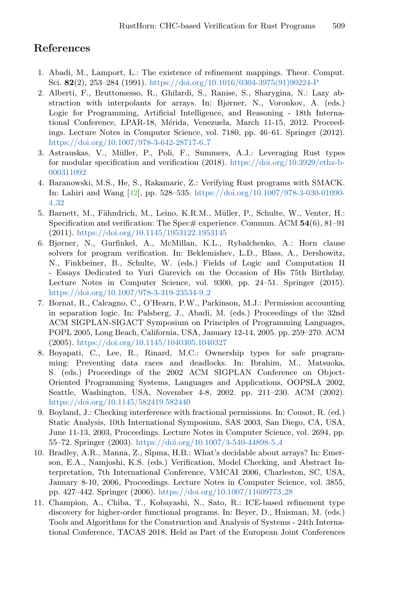# References

- <span id="page-25-10"></span>1. Abadi, M., Lamport, L.: The existence of refinement mappings. Theor. Comput. Sci. 82(2), 253–284 (1991). [https://doi.org/10.1016/0304-3975\(91\)90224-P](https://doi.org/10.1016/0304-3975(91)90224-P)
- <span id="page-25-2"></span>2. Alberti, F., Bruttomesso, R., Ghilardi, S., Ranise, S., Sharygina, N.: Lazy abstraction with interpolants for arrays. In: Bjørner, N., Voronkov, A. (eds.) Logic for Programming, Artificial Intelligence, and Reasoning - 18th International Conference, LPAR-18, Mérida, Venezuela, March 11-15, 2012. Proceedings. Lecture Notes in Computer Science, vol. 7180, pp. 46–61. Springer (2012). [https://doi.org/10.1007/978-3-642-28717-6](https://doi.org/10.1007/978-3-642-28717-6_7) 7
- <span id="page-25-7"></span>3. Astrauskas, V., M¨uller, P., Poli, F., Summers, A.J.: Leveraging Rust types for modular specification and verification (2018). [https://doi.org/10.3929/ethz-b-](https://doi.org/10.3929/ethz-b-000311092)[000311092](https://doi.org/10.3929/ethz-b-000311092)
- <span id="page-25-8"></span>4. Baranowski, M.S., He, S., Rakamaric, Z.: Verifying Rust programs with SMACK. In: Lahiri and Wang [\[42\]](#page-28-11), pp. 528–535. [https://doi.org/10.1007/978-3-030-01090-](https://doi.org/10.1007/978-3-030-01090-4_32) 4 [32](https://doi.org/10.1007/978-3-030-01090-4_32)
- <span id="page-25-9"></span>5. Barnett, M., Fähndrich, M., Leino, K.R.M., Müller, P., Schulte, W., Venter, H.: Specification and verification: The Spec# experience. Commun. ACM  $54(6)$ , 81–91 (2011). <https://doi.org/10.1145/1953122.1953145>
- <span id="page-25-0"></span>6. Bjørner, N., Gurfinkel, A., McMillan, K.L., Rybalchenko, A.: Horn clause solvers for program verification. In: Beklemishev, L.D., Blass, A., Dershowitz, N., Finkbeiner, B., Schulte, W. (eds.) Fields of Logic and Computation II - Essays Dedicated to Yuri Gurevich on the Occasion of His 75th Birthday. Lecture Notes in Computer Science, vol. 9300, pp. 24–51. Springer (2015). [https://doi.org/10.1007/978-3-319-23534-9](https://doi.org/10.1007/978-3-319-23534-9_2) 2
- <span id="page-25-5"></span>7. Bornat, R., Calcagno, C., O'Hearn, P.W., Parkinson, M.J.: Permission accounting in separation logic. In: Palsberg, J., Abadi, M. (eds.) Proceedings of the 32nd ACM SIGPLAN-SIGACT Symposium on Principles of Programming Languages, POPL 2005, Long Beach, California, USA, January 12-14, 2005. pp. 259–270. ACM (2005). <https://doi.org/10.1145/1040305.1040327>
- <span id="page-25-3"></span>8. Boyapati, C., Lee, R., Rinard, M.C.: Ownership types for safe programming: Preventing data races and deadlocks. In: Ibrahim, M., Matsuoka, S. (eds.) Proceedings of the 2002 ACM SIGPLAN Conference on Object-Oriented Programming Systems, Languages and Applications, OOPSLA 2002, Seattle, Washington, USA, November 4-8, 2002. pp. 211–230. ACM (2002). <https://doi.org/10.1145/582419.582440>
- <span id="page-25-4"></span>9. Boyland, J.: Checking interference with fractional permissions. In: Cousot, R. (ed.) Static Analysis, 10th International Symposium, SAS 2003, San Diego, CA, USA, June 11-13, 2003, Proceedings. Lecture Notes in Computer Science, vol. 2694, pp. 55–72. Springer (2003). [https://doi.org/10.1007/3-540-44898-5](https://doi.org/10.1007/3-540-44898-5_4) 4
- <span id="page-25-1"></span>10. Bradley, A.R., Manna, Z., Sipma, H.B.: What's decidable about arrays? In: Emerson, E.A., Namjoshi, K.S. (eds.) Verification, Model Checking, and Abstract Interpretation, 7th International Conference, VMCAI 2006, Charleston, SC, USA, January 8-10, 2006, Proceedings. Lecture Notes in Computer Science, vol. 3855, pp. 427–442. Springer (2006). [https://doi.org/10.1007/11609773](https://doi.org/10.1007/11609773_28) 28
- <span id="page-25-6"></span>11. Champion, A., Chiba, T., Kobayashi, N., Sato, R.: ICE-based refinement type discovery for higher-order functional programs. In: Beyer, D., Huisman, M. (eds.) Tools and Algorithms for the Construction and Analysis of Systems - 24th International Conference, TACAS 2018, Held as Part of the European Joint Conferences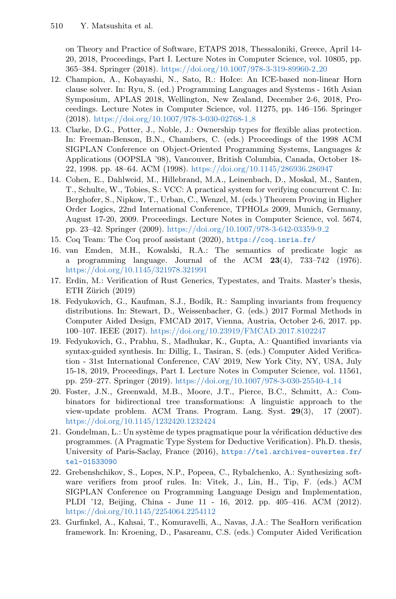on Theory and Practice of Software, ETAPS 2018, Thessaloniki, Greece, April 14- 20, 2018, Proceedings, Part I. Lecture Notes in Computer Science, vol. 10805, pp. 365–384. Springer (2018). [https://doi.org/10.1007/978-3-319-89960-2](https://doi.org/10.1007/978-3-319-89960-2_20) 20

- <span id="page-26-2"></span>12. Champion, A., Kobayashi, N., Sato, R.: HoIce: An ICE-based non-linear Horn clause solver. In: Ryu, S. (ed.) Programming Languages and Systems - 16th Asian Symposium, APLAS 2018, Wellington, New Zealand, December 2-6, 2018, Proceedings. Lecture Notes in Computer Science, vol. 11275, pp. 146–156. Springer (2018). [https://doi.org/10.1007/978-3-030-02768-1](https://doi.org/10.1007/978-3-030-02768-1_8) 8
- <span id="page-26-5"></span>13. Clarke, D.G., Potter, J., Noble, J.: Ownership types for flexible alias protection. In: Freeman-Benson, B.N., Chambers, C. (eds.) Proceedings of the 1998 ACM SIGPLAN Conference on Object-Oriented Programming Systems, Languages & Applications (OOPSLA '98), Vancouver, British Columbia, Canada, October 18- 22, 1998. pp. 48–64. ACM (1998). <https://doi.org/10.1145/286936.286947>
- <span id="page-26-10"></span>14. Cohen, E., Dahlweid, M., Hillebrand, M.A., Leinenbach, D., Moskal, M., Santen, T., Schulte, W., Tobies, S.: VCC: A practical system for verifying concurrent C. In: Berghofer, S., Nipkow, T., Urban, C., Wenzel, M. (eds.) Theorem Proving in Higher Order Logics, 22nd International Conference, TPHOLs 2009, Munich, Germany, August 17-20, 2009. Proceedings. Lecture Notes in Computer Science, vol. 5674, pp. 23–42. Springer (2009). [https://doi.org/10.1007/978-3-642-03359-9](https://doi.org/10.1007/978-3-642-03359-9_2) 2
- <span id="page-26-7"></span>15. Coq Team: The Coq proof assistant (2020), <https://coq.inria.fr/>
- <span id="page-26-6"></span>16. van Emden, M.H., Kowalski, R.A.: The semantics of predicate logic as a programming language. Journal of the ACM 23(4), 733–742 (1976). <https://doi.org/10.1145/321978.321991>
- <span id="page-26-9"></span>17. Erdin, M.: Verification of Rust Generics, Typestates, and Traits. Master's thesis, ETH Zürich (2019)
- <span id="page-26-1"></span>18. Fedyukovich, G., Kaufman, S.J., Bod´ık, R.: Sampling invariants from frequency distributions. In: Stewart, D., Weissenbacher, G. (eds.) 2017 Formal Methods in Computer Aided Design, FMCAD 2017, Vienna, Austria, October 2-6, 2017. pp. 100–107. IEEE (2017). <https://doi.org/10.23919/FMCAD.2017.8102247>
- <span id="page-26-4"></span>19. Fedyukovich, G., Prabhu, S., Madhukar, K., Gupta, A.: Quantified invariants via syntax-guided synthesis. In: Dillig, I., Tasiran, S. (eds.) Computer Aided Verification - 31st International Conference, CAV 2019, New York City, NY, USA, July 15-18, 2019, Proceedings, Part I. Lecture Notes in Computer Science, vol. 11561, pp. 259–277. Springer (2019). [https://doi.org/10.1007/978-3-030-25540-4](https://doi.org/10.1007/978-3-030-25540-4_14) 14
- <span id="page-26-8"></span>20. Foster, J.N., Greenwald, M.B., Moore, J.T., Pierce, B.C., Schmitt, A.: Combinators for bidirectional tree transformations: A linguistic approach to the view-update problem. ACM Trans. Program. Lang. Syst. 29(3), 17 (2007). <https://doi.org/10.1145/1232420.1232424>
- <span id="page-26-11"></span>21. Gondelman, L.: Un système de types pragmatique pour la vérification déductive des programmes. (A Pragmatic Type System for Deductive Verification). Ph.D. thesis, University of Paris-Saclay, France (2016), [https://tel.archives-ouvertes.fr/](https://tel.archives-ouvertes.fr/tel-01533090) [tel-01533090](https://tel.archives-ouvertes.fr/tel-01533090)
- <span id="page-26-0"></span>22. Grebenshchikov, S., Lopes, N.P., Popeea, C., Rybalchenko, A.: Synthesizing software verifiers from proof rules. In: Vitek, J., Lin, H., Tip, F. (eds.) ACM SIGPLAN Conference on Programming Language Design and Implementation, PLDI '12, Beijing, China - June 11 - 16, 2012. pp. 405–416. ACM (2012). <https://doi.org/10.1145/2254064.2254112>
- <span id="page-26-3"></span>23. Gurfinkel, A., Kahsai, T., Komuravelli, A., Navas, J.A.: The SeaHorn verification framework. In: Kroening, D., Pasareanu, C.S. (eds.) Computer Aided Verification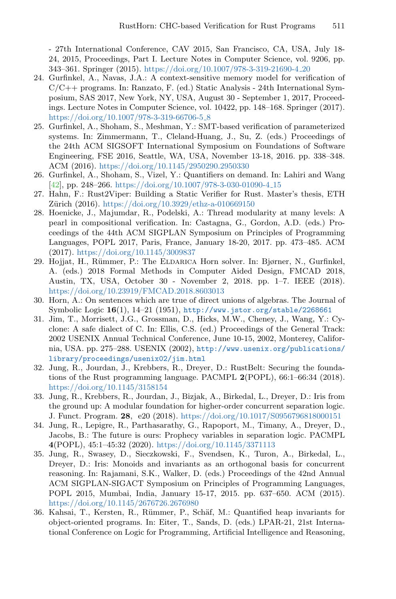- 27th International Conference, CAV 2015, San Francisco, CA, USA, July 18- 24, 2015, Proceedings, Part I. Lecture Notes in Computer Science, vol. 9206, pp. 343–361. Springer (2015). [https://doi.org/10.1007/978-3-319-21690-4](https://doi.org/10.1007/978-3-319-21690-4_20) 20

- <span id="page-27-6"></span>24. Gurfinkel, A., Navas, J.A.: A context-sensitive memory model for verification of C/C++ programs. In: Ranzato, F. (ed.) Static Analysis - 24th International Symposium, SAS 2017, New York, NY, USA, August 30 - September 1, 2017, Proceedings. Lecture Notes in Computer Science, vol. 10422, pp. 148–168. Springer (2017). [https://doi.org/10.1007/978-3-319-66706-5](https://doi.org/10.1007/978-3-319-66706-5_8) 8
- <span id="page-27-2"></span>25. Gurfinkel, A., Shoham, S., Meshman, Y.: SMT-based verification of parameterized systems. In: Zimmermann, T., Cleland-Huang, J., Su, Z. (eds.) Proceedings of the 24th ACM SIGSOFT International Symposium on Foundations of Software Engineering, FSE 2016, Seattle, WA, USA, November 13-18, 2016. pp. 338–348. ACM (2016). <https://doi.org/10.1145/2950290.2950330>
- <span id="page-27-5"></span>26. Gurfinkel, A., Shoham, S., Vizel, Y.: Quantifiers on demand. In: Lahiri and Wang [\[42\]](#page-28-11), pp. 248–266. [https://doi.org/10.1007/978-3-030-01090-4](https://doi.org/10.1007/978-3-030-01090-4_15) 15
- <span id="page-27-12"></span>27. Hahn, F.: Rust2Viper: Building a Static Verifier for Rust. Master's thesis, ETH Zürich (2016). <https://doi.org/10.3929/ethz-a-010669150>
- <span id="page-27-3"></span>28. Hoenicke, J., Majumdar, R., Podelski, A.: Thread modularity at many levels: A pearl in compositional verification. In: Castagna, G., Gordon, A.D. (eds.) Proceedings of the 44th ACM SIGPLAN Symposium on Principles of Programming Languages, POPL 2017, Paris, France, January 18-20, 2017. pp. 473–485. ACM (2017). <https://doi.org/10.1145/3009837>
- <span id="page-27-1"></span>29. Hojjat, H., R¨ummer, P.: The Eldarica Horn solver. In: Bjørner, N., Gurfinkel, A. (eds.) 2018 Formal Methods in Computer Aided Design, FMCAD 2018, Austin, TX, USA, October 30 - November 2, 2018. pp. 1–7. IEEE (2018). <https://doi.org/10.23919/FMCAD.2018.8603013>
- <span id="page-27-0"></span>30. Horn, A.: On sentences which are true of direct unions of algebras. The Journal of Symbolic Logic  $16(1)$ ,  $14-21$  (1951), <http://www.jstor.org/stable/2268661>
- <span id="page-27-7"></span>31. Jim, T., Morrisett, J.G., Grossman, D., Hicks, M.W., Cheney, J., Wang, Y.: Cyclone: A safe dialect of C. In: Ellis, C.S. (ed.) Proceedings of the General Track: 2002 USENIX Annual Technical Conference, June 10-15, 2002, Monterey, California, USA. pp. 275–288. USENIX (2002), [http://www.usenix.org/publications/](http://www.usenix.org/publications/library/proceedings/usenix02/jim.html) [library/proceedings/usenix02/jim.html](http://www.usenix.org/publications/library/proceedings/usenix02/jim.html)
- <span id="page-27-8"></span>32. Jung, R., Jourdan, J., Krebbers, R., Dreyer, D.: RustBelt: Securing the foundations of the Rust programming language. PACMPL 2(POPL), 66:1–66:34 (2018). <https://doi.org/10.1145/3158154>
- <span id="page-27-10"></span>33. Jung, R., Krebbers, R., Jourdan, J., Bizjak, A., Birkedal, L., Dreyer, D.: Iris from the ground up: A modular foundation for higher-order concurrent separation logic. J. Funct. Program. 28, e20 (2018). <https://doi.org/10.1017/S0956796818000151>
- <span id="page-27-11"></span>34. Jung, R., Lepigre, R., Parthasarathy, G., Rapoport, M., Timany, A., Dreyer, D., Jacobs, B.: The future is ours: Prophecy variables in separation logic. PACMPL 4(POPL), 45:1–45:32 (2020). <https://doi.org/10.1145/3371113>
- <span id="page-27-9"></span>35. Jung, R., Swasey, D., Sieczkowski, F., Svendsen, K., Turon, A., Birkedal, L., Dreyer, D.: Iris: Monoids and invariants as an orthogonal basis for concurrent reasoning. In: Rajamani, S.K., Walker, D. (eds.) Proceedings of the 42nd Annual ACM SIGPLAN-SIGACT Symposium on Principles of Programming Languages, POPL 2015, Mumbai, India, January 15-17, 2015. pp. 637–650. ACM (2015). <https://doi.org/10.1145/2676726.2676980>
- <span id="page-27-4"></span>36. Kahsai, T., Kersten, R., Rümmer, P., Schäf, M.: Quantified heap invariants for object-oriented programs. In: Eiter, T., Sands, D. (eds.) LPAR-21, 21st International Conference on Logic for Programming, Artificial Intelligence and Reasoning,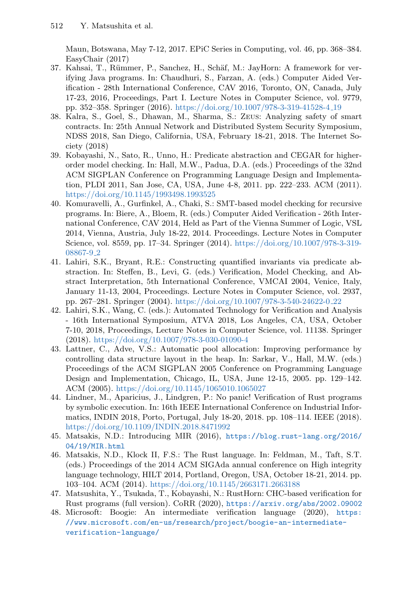Maun, Botswana, May 7-12, 2017. EPiC Series in Computing, vol. 46, pp. 368–384. EasyChair (2017)

- <span id="page-28-2"></span>37. Kahsai, T., Rümmer, P., Sanchez, H., Schäf, M.: JayHorn: A framework for verifying Java programs. In: Chaudhuri, S., Farzan, A. (eds.) Computer Aided Verification - 28th International Conference, CAV 2016, Toronto, ON, Canada, July 17-23, 2016, Proceedings, Part I. Lecture Notes in Computer Science, vol. 9779, pp. 352–358. Springer (2016). [https://doi.org/10.1007/978-3-319-41528-4](https://doi.org/10.1007/978-3-319-41528-4_19) 19
- <span id="page-28-3"></span>38. Kalra, S., Goel, S., Dhawan, M., Sharma, S.: Zeus: Analyzing safety of smart contracts. In: 25th Annual Network and Distributed System Security Symposium, NDSS 2018, San Diego, California, USA, February 18-21, 2018. The Internet Society (2018)
- <span id="page-28-8"></span>39. Kobayashi, N., Sato, R., Unno, H.: Predicate abstraction and CEGAR for higherorder model checking. In: Hall, M.W., Padua, D.A. (eds.) Proceedings of the 32nd ACM SIGPLAN Conference on Programming Language Design and Implementation, PLDI 2011, San Jose, CA, USA, June 4-8, 2011. pp. 222–233. ACM (2011). <https://doi.org/10.1145/1993498.1993525>
- <span id="page-28-1"></span>40. Komuravelli, A., Gurfinkel, A., Chaki, S.: SMT-based model checking for recursive programs. In: Biere, A., Bloem, R. (eds.) Computer Aided Verification - 26th International Conference, CAV 2014, Held as Part of the Vienna Summer of Logic, VSL 2014, Vienna, Austria, July 18-22, 2014. Proceedings. Lecture Notes in Computer Science, vol. 8559, pp. 17–34. Springer (2014). [https://doi.org/10.1007/978-3-319-](https://doi.org/10.1007/978-3-319-08867-9_2) [08867-9](https://doi.org/10.1007/978-3-319-08867-9_2) 2
- <span id="page-28-4"></span>41. Lahiri, S.K., Bryant, R.E.: Constructing quantified invariants via predicate abstraction. In: Steffen, B., Levi, G. (eds.) Verification, Model Checking, and Abstract Interpretation, 5th International Conference, VMCAI 2004, Venice, Italy, January 11-13, 2004, Proceedings. Lecture Notes in Computer Science, vol. 2937, pp. 267–281. Springer (2004). [https://doi.org/10.1007/978-3-540-24622-0](https://doi.org/10.1007/978-3-540-24622-0_22) 22
- <span id="page-28-11"></span>42. Lahiri, S.K., Wang, C. (eds.): Automated Technology for Verification and Analysis - 16th International Symposium, ATVA 2018, Los Angeles, CA, USA, October 7-10, 2018, Proceedings, Lecture Notes in Computer Science, vol. 11138. Springer (2018). <https://doi.org/10.1007/978-3-030-01090-4>
- <span id="page-28-5"></span>43. Lattner, C., Adve, V.S.: Automatic pool allocation: Improving performance by controlling data structure layout in the heap. In: Sarkar, V., Hall, M.W. (eds.) Proceedings of the ACM SIGPLAN 2005 Conference on Programming Language Design and Implementation, Chicago, IL, USA, June 12-15, 2005. pp. 129–142. ACM (2005). <https://doi.org/10.1145/1065010.1065027>
- <span id="page-28-10"></span>44. Lindner, M., Aparicius, J., Lindgren, P.: No panic! Verification of Rust programs by symbolic execution. In: 16th IEEE International Conference on Industrial Informatics, INDIN 2018, Porto, Portugal, July 18-20, 2018. pp. 108–114. IEEE (2018). <https://doi.org/10.1109/INDIN.2018.8471992>
- <span id="page-28-9"></span>45. Matsakis, N.D.: Introducing MIR (2016), [https://blog.rust-lang.org/2016/](https://blog.rust-lang.org/2016/04/19/MIR.html) [04/19/MIR.html](https://blog.rust-lang.org/2016/04/19/MIR.html)
- <span id="page-28-6"></span>46. Matsakis, N.D., Klock II, F.S.: The Rust language. In: Feldman, M., Taft, S.T. (eds.) Proceedings of the 2014 ACM SIGAda annual conference on High integrity language technology, HILT 2014, Portland, Oregon, USA, October 18-21, 2014. pp. 103–104. ACM (2014). <https://doi.org/10.1145/2663171.2663188>
- <span id="page-28-0"></span>47. Matsushita, Y., Tsukada, T., Kobayashi, N.: RustHorn: CHC-based verification for Rust programs (full version). CoRR (2020), <https://arxiv.org/abs/2002.09002>
- <span id="page-28-7"></span>48. Microsoft: Boogie: An intermediate verification language (2020), [https:](https://www.microsoft.com/en-us/research/project/boogie-an-intermediate-verification-language/) [//www.microsoft.com/en-us/research/project/boogie-an-intermediate](https://www.microsoft.com/en-us/research/project/boogie-an-intermediate-verification-language/)[verification-language/](https://www.microsoft.com/en-us/research/project/boogie-an-intermediate-verification-language/)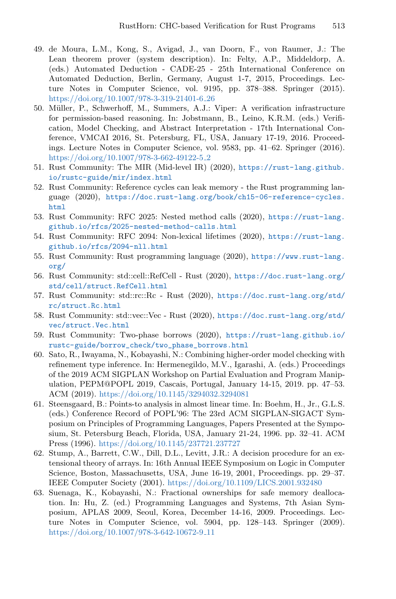- <span id="page-29-13"></span>49. de Moura, L.M., Kong, S., Avigad, J., van Doorn, F., von Raumer, J.: The Lean theorem prover (system description). In: Felty, A.P., Middeldorp, A. (eds.) Automated Deduction - CADE-25 - 25th International Conference on Automated Deduction, Berlin, Germany, August 1-7, 2015, Proceedings. Lecture Notes in Computer Science, vol. 9195, pp. 378–388. Springer (2015). [https://doi.org/10.1007/978-3-319-21401-6](https://doi.org/10.1007/978-3-319-21401-6_26) 26
- <span id="page-29-14"></span>50. M¨uller, P., Schwerhoff, M., Summers, A.J.: Viper: A verification infrastructure for permission-based reasoning. In: Jobstmann, B., Leino, K.R.M. (eds.) Verification, Model Checking, and Abstract Interpretation - 17th International Conference, VMCAI 2016, St. Petersburg, FL, USA, January 17-19, 2016. Proceedings. Lecture Notes in Computer Science, vol. 9583, pp. 41–62. Springer (2016). [https://doi.org/10.1007/978-3-662-49122-5](https://doi.org/10.1007/978-3-662-49122-5_2) 2
- <span id="page-29-12"></span>51. Rust Community: The MIR (Mid-level IR) (2020), [https://rust-lang.github.](https://rust-lang.github.io/rustc-guide/mir/index.html) [io/rustc-guide/mir/index.html](https://rust-lang.github.io/rustc-guide/mir/index.html)
- <span id="page-29-10"></span>52. Rust Community: Reference cycles can leak memory - the Rust programming language (2020), [https://doc.rust-lang.org/book/ch15-06-reference-cycles.](https://doc.rust-lang.org/book/ch15-06-reference-cycles.html) [html](https://doc.rust-lang.org/book/ch15-06-reference-cycles.html)
- <span id="page-29-7"></span>53. Rust Community: RFC 2025: Nested method calls (2020), [https://rust-lang.](https://rust-lang.github.io/rfcs/2025-nested-method-calls.html) [github.io/rfcs/2025-nested-method-calls.html](https://rust-lang.github.io/rfcs/2025-nested-method-calls.html)
- <span id="page-29-5"></span>54. Rust Community: RFC 2094: Non-lexical lifetimes (2020), [https://rust-lang.](https://rust-lang.github.io/rfcs/2094-nll.html) [github.io/rfcs/2094-nll.html](https://rust-lang.github.io/rfcs/2094-nll.html)
- <span id="page-29-4"></span>55. Rust Community: Rust programming language (2020), [https://www.rust-lang.](https://www.rust-lang.org/) [org/](https://www.rust-lang.org/)
- <span id="page-29-9"></span>56. Rust Community: std::cell::RefCell - Rust (2020), [https://doc.rust-lang.org/](https://doc.rust-lang.org/std/cell/struct.RefCell.html) [std/cell/struct.RefCell.html](https://doc.rust-lang.org/std/cell/struct.RefCell.html)
- <span id="page-29-11"></span>57. Rust Community: std::rc::Rc - Rust (2020), [https://doc.rust-lang.org/std/](https://doc.rust-lang.org/std/rc/struct.Rc.html) [rc/struct.Rc.html](https://doc.rust-lang.org/std/rc/struct.Rc.html)
- <span id="page-29-8"></span>58. Rust Community: std::vec::Vec - Rust (2020), [https://doc.rust-lang.org/std/](https://doc.rust-lang.org/std/vec/struct.Vec.html) [vec/struct.Vec.html](https://doc.rust-lang.org/std/vec/struct.Vec.html)
- <span id="page-29-6"></span>59. Rust Community: Two-phase borrows (2020), [https://rust-lang.github.io/](https://rust-lang.github.io/rustc-guide/borrow_check/two_phase_borrows.html) [rustc-guide/borrow\\_check/two\\_phase\\_borrows.html](https://rust-lang.github.io/rustc-guide/borrow_check/two_phase_borrows.html)
- <span id="page-29-0"></span>60. Sato, R., Iwayama, N., Kobayashi, N.: Combining higher-order model checking with refinement type inference. In: Hermenegildo, M.V., Igarashi, A. (eds.) Proceedings of the 2019 ACM SIGPLAN Workshop on Partial Evaluation and Program Manipulation, PEPM@POPL 2019, Cascais, Portugal, January 14-15, 2019. pp. 47–53. ACM (2019). <https://doi.org/10.1145/3294032.3294081>
- <span id="page-29-2"></span>61. Steensgaard, B.: Points-to analysis in almost linear time. In: Boehm, H., Jr., G.L.S. (eds.) Conference Record of POPL'96: The 23rd ACM SIGPLAN-SIGACT Symposium on Principles of Programming Languages, Papers Presented at the Symposium, St. Petersburg Beach, Florida, USA, January 21-24, 1996. pp. 32–41. ACM Press (1996). <https://doi.org/10.1145/237721.237727>
- <span id="page-29-1"></span>62. Stump, A., Barrett, C.W., Dill, D.L., Levitt, J.R.: A decision procedure for an extensional theory of arrays. In: 16th Annual IEEE Symposium on Logic in Computer Science, Boston, Massachusetts, USA, June 16-19, 2001, Proceedings. pp. 29–37. IEEE Computer Society (2001). <https://doi.org/10.1109/LICS.2001.932480>
- <span id="page-29-3"></span>63. Suenaga, K., Kobayashi, N.: Fractional ownerships for safe memory deallocation. In: Hu, Z. (ed.) Programming Languages and Systems, 7th Asian Symposium, APLAS 2009, Seoul, Korea, December 14-16, 2009. Proceedings. Lecture Notes in Computer Science, vol. 5904, pp. 128–143. Springer (2009). [https://doi.org/10.1007/978-3-642-10672-9](https://doi.org/10.1007/978-3-642-10672-9_11) 11